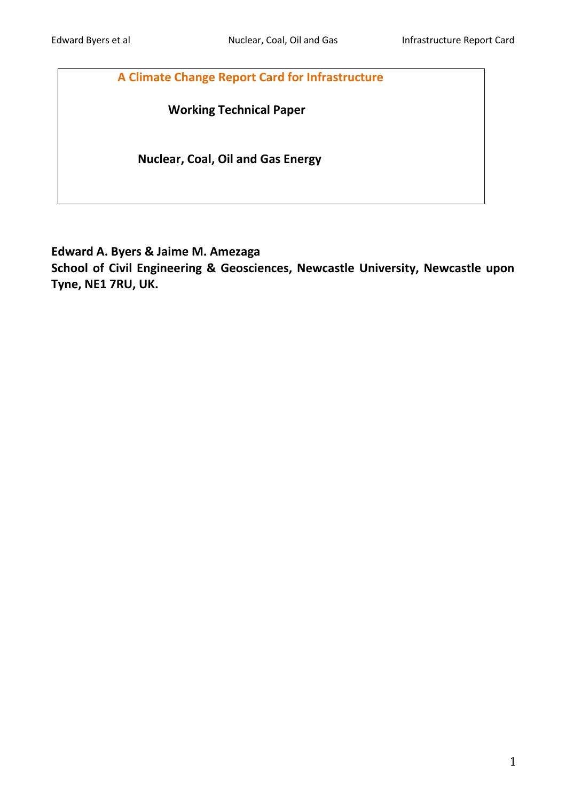**A Climate Change Report Card for Infrastructure**

 **Working Technical Paper**

 **Nuclear, Coal, Oil and Gas Energy**

**Edward A. Byers & Jaime M. Amezaga**

**School of Civil Engineering & Geosciences, Newcastle University, Newcastle upon Tyne, NE1 7RU, UK.**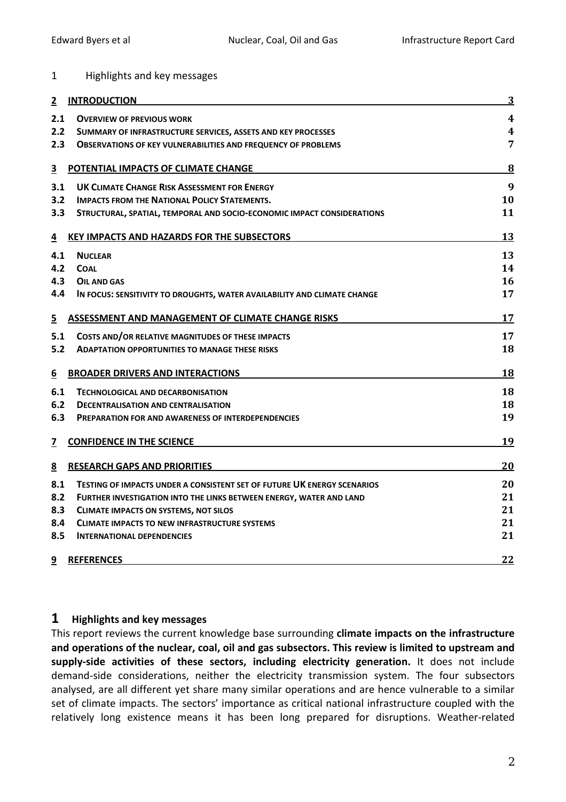#### 1 Highlights and key messages

| 2                       | <b>INTRODUCTION</b>                                                            | $\overline{3}$          |
|-------------------------|--------------------------------------------------------------------------------|-------------------------|
| 2.1                     | <b>OVERVIEW OF PREVIOUS WORK</b>                                               | $\overline{\mathbf{4}}$ |
| 2.2 <sub>2</sub>        | SUMMARY OF INFRASTRUCTURE SERVICES, ASSETS AND KEY PROCESSES                   | 4                       |
| 2.3                     | <b>OBSERVATIONS OF KEY VULNERABILITIES AND FREQUENCY OF PROBLEMS</b>           | $\overline{7}$          |
| $\overline{\mathbf{3}}$ | POTENTIAL IMPACTS OF CLIMATE CHANGE                                            | $\overline{\mathbf{8}}$ |
| 3.1                     | <b>UK CLIMATE CHANGE RISK ASSESSMENT FOR ENERGY</b>                            | 9                       |
| 3.2                     | <b>IMPACTS FROM THE NATIONAL POLICY STATEMENTS.</b>                            | 10                      |
| 3.3 <sub>2</sub>        | STRUCTURAL, SPATIAL, TEMPORAL AND SOCIO-ECONOMIC IMPACT CONSIDERATIONS         | 11                      |
| $\overline{4}$          | KEY IMPACTS AND HAZARDS FOR THE SUBSECTORS                                     | 13                      |
| 4.1                     | <b>NUCLEAR</b>                                                                 | 13                      |
| 4.2                     | <b>COAL</b>                                                                    | 14                      |
| 4.3                     | <b>OIL AND GAS</b>                                                             | 16                      |
| 4.4                     | IN FOCUS: SENSITIVITY TO DROUGHTS, WATER AVAILABILITY AND CLIMATE CHANGE       | 17                      |
| 5                       | <b>ASSESSMENT AND MANAGEMENT OF CLIMATE CHANGE RISKS</b>                       | 17                      |
| 5.1                     | COSTS AND/OR RELATIVE MAGNITUDES OF THESE IMPACTS                              | 17                      |
| 5.2                     | <b>ADAPTATION OPPORTUNITIES TO MANAGE THESE RISKS</b>                          | 18                      |
| 6                       | <b>BROADER DRIVERS AND INTERACTIONS</b>                                        | 18                      |
| 6.1                     | TECHNOLOGICAL AND DECARBONISATION                                              | 18                      |
| 6.2                     | <b>DECENTRALISATION AND CENTRALISATION</b>                                     | 18                      |
| 6.3                     | <b>PREPARATION FOR AND AWARENESS OF INTERDEPENDENCIES</b>                      | 19                      |
| $\overline{\mathbf{Z}}$ | <b>CONFIDENCE IN THE SCIENCE</b>                                               | <u>19</u>               |
| 8                       | <b>RESEARCH GAPS AND PRIORITIES</b>                                            | 20                      |
| 8.1                     | <b>TESTING OF IMPACTS UNDER A CONSISTENT SET OF FUTURE UK ENERGY SCENARIOS</b> | 20                      |
| 8.2                     | <b>FURTHER INVESTIGATION INTO THE LINKS BETWEEN ENERGY, WATER AND LAND</b>     | 21                      |
| 8.3                     | <b>CLIMATE IMPACTS ON SYSTEMS, NOT SILOS</b>                                   | 21                      |
| 8.4                     | <b>CLIMATE IMPACTS TO NEW INFRASTRUCTURE SYSTEMS</b>                           | 21                      |
| 8.5                     | <b>INTERNATIONAL DEPENDENCIES</b>                                              | 21                      |
| <u>9</u>                | <b>REFERENCES</b>                                                              | 22                      |

#### **1 Highlights and key messages**

This report reviews the current knowledge base surrounding **climate impacts on the infrastructure and operations of the nuclear, coal, oil and gas subsectors. This review is limited to upstream and supply-side activities of these sectors, including electricity generation.** It does not include demand-side considerations, neither the electricity transmission system. The four subsectors analysed, are all different yet share many similar operations and are hence vulnerable to a similar set of climate impacts. The sectors' importance as critical national infrastructure coupled with the relatively long existence means it has been long prepared for disruptions. Weather-related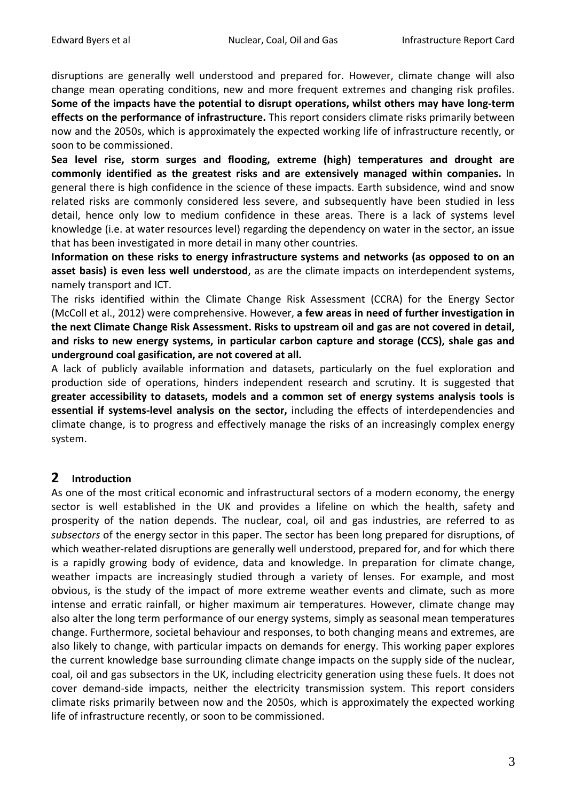disruptions are generally well understood and prepared for. However, climate change will also change mean operating conditions, new and more frequent extremes and changing risk profiles. **Some of the impacts have the potential to disrupt operations, whilst others may have long-term effects on the performance of infrastructure.** This report considers climate risks primarily between now and the 2050s, which is approximately the expected working life of infrastructure recently, or soon to be commissioned.

**Sea level rise, storm surges and flooding, extreme (high) temperatures and drought are commonly identified as the greatest risks and are extensively managed within companies.** In general there is high confidence in the science of these impacts. Earth subsidence, wind and snow related risks are commonly considered less severe, and subsequently have been studied in less detail, hence only low to medium confidence in these areas. There is a lack of systems level knowledge (i.e. at water resources level) regarding the dependency on water in the sector, an issue that has been investigated in more detail in many other countries.

**Information on these risks to energy infrastructure systems and networks (as opposed to on an asset basis) is even less well understood**, as are the climate impacts on interdependent systems, namely transport and ICT.

The risks identified within the Climate Change Risk Assessment (CCRA) for the Energy Sector (McColl et al., 2012) were comprehensive. However, **a few areas in need of further investigation in the next Climate Change Risk Assessment. Risks to upstream oil and gas are not covered in detail, and risks to new energy systems, in particular carbon capture and storage (CCS), shale gas and underground coal gasification, are not covered at all.**

A lack of publicly available information and datasets, particularly on the fuel exploration and production side of operations, hinders independent research and scrutiny. It is suggested that **greater accessibility to datasets, models and a common set of energy systems analysis tools is essential if systems-level analysis on the sector,** including the effects of interdependencies and climate change, is to progress and effectively manage the risks of an increasingly complex energy system.

## **2 Introduction**

As one of the most critical economic and infrastructural sectors of a modern economy, the energy sector is well established in the UK and provides a lifeline on which the health, safety and prosperity of the nation depends. The nuclear, coal, oil and gas industries, are referred to as *subsectors* of the energy sector in this paper. The sector has been long prepared for disruptions, of which weather-related disruptions are generally well understood, prepared for, and for which there is a rapidly growing body of evidence, data and knowledge. In preparation for climate change, weather impacts are increasingly studied through a variety of lenses. For example, and most obvious, is the study of the impact of more extreme weather events and climate, such as more intense and erratic rainfall, or higher maximum air temperatures. However, climate change may also alter the long term performance of our energy systems, simply as seasonal mean temperatures change. Furthermore, societal behaviour and responses, to both changing means and extremes, are also likely to change, with particular impacts on demands for energy. This working paper explores the current knowledge base surrounding climate change impacts on the supply side of the nuclear, coal, oil and gas subsectors in the UK, including electricity generation using these fuels. It does not cover demand-side impacts, neither the electricity transmission system. This report considers climate risks primarily between now and the 2050s, which is approximately the expected working life of infrastructure recently, or soon to be commissioned.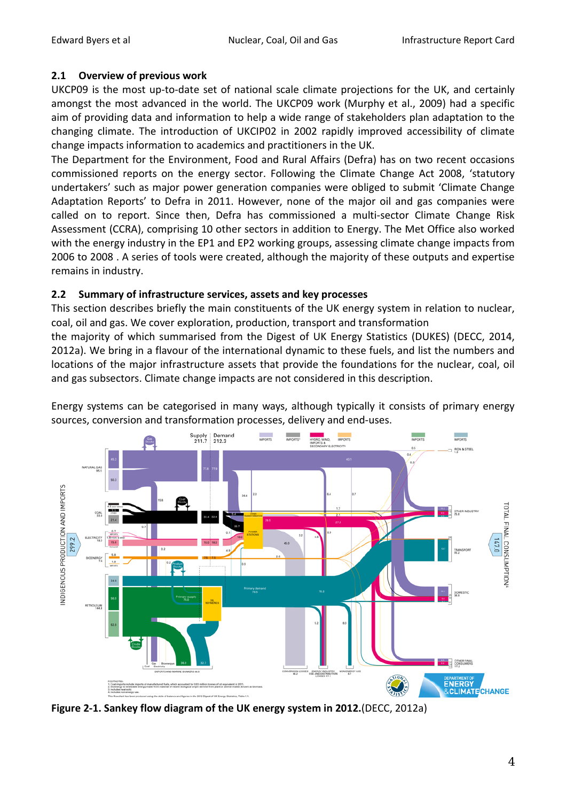### **2.1 Overview of previous work**

UKCP09 is the most up-to-date set of national scale climate projections for the UK, and certainly amongst the most advanced in the world. The UKCP09 work (Murphy et al., 2009) had a specific aim of providing data and information to help a wide range of stakeholders plan adaptation to the changing climate. The introduction of UKCIP02 in 2002 rapidly improved accessibility of climate change impacts information to academics and practitioners in the UK.

The Department for the Environment, Food and Rural Affairs (Defra) has on two recent occasions commissioned reports on the energy sector. Following the Climate Change Act 2008, 'statutory undertakers' such as major power generation companies were obliged to submit 'Climate Change Adaptation Reports' to Defra in 2011. However, none of the major oil and gas companies were called on to report. Since then, Defra has commissioned a multi-sector Climate Change Risk Assessment (CCRA), comprising 10 other sectors in addition to Energy. The Met Office also worked with the energy industry in the EP1 and EP2 working groups, assessing climate change impacts from 2006 to 2008 . A series of tools were created, although the majority of these outputs and expertise remains in industry.

### <span id="page-3-0"></span>**2.2 Summary of infrastructure services, assets and key processes**

This section describes briefly the main constituents of the UK energy system in relation to nuclear, coal, oil and gas. We cover exploration, production, transport and transformation

the majority of which summarised from the Digest of UK Energy Statistics (DUKES) (DECC, 2014, 2012a). We bring in a flavour of the international dynamic to these fuels, and list the numbers and locations of the major infrastructure assets that provide the foundations for the nuclear, coal, oil and gas subsectors. Climate change impacts are not considered in this description.

Energy systems can be categorised in many ways, although typically it consists of primary energy sources, conversion and transformation processes, delivery and end-uses.



**Figure 2-1. Sankey flow diagram of the UK energy system in 2012.**(DECC, 2012a)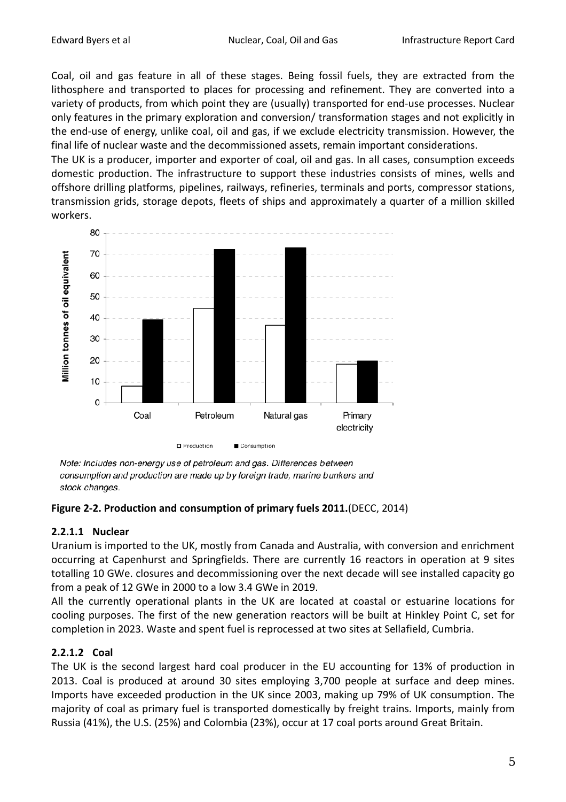Coal, oil and gas feature in all of these stages. Being fossil fuels, they are extracted from the lithosphere and transported to places for processing and refinement. They are converted into a variety of products, from which point they are (usually) transported for end-use processes. Nuclear only features in the primary exploration and conversion/ transformation stages and not explicitly in the end-use of energy, unlike coal, oil and gas, if we exclude electricity transmission. However, the final life of nuclear waste and the decommissioned assets, remain important considerations.

The UK is a producer, importer and exporter of coal, oil and gas. In all cases, consumption exceeds domestic production. The infrastructure to support these industries consists of mines, wells and offshore drilling platforms, pipelines, railways, refineries, terminals and ports, compressor stations, transmission grids, storage depots, fleets of ships and approximately a quarter of a million skilled workers.



Note: Includes non-energy use of petroleum and gas. Differences between consumption and production are made up by foreign trade, marine bunkers and stock changes.

#### **Figure 2-2. Production and consumption of primary fuels 2011.**(DECC, 2014)

#### **2.2.1.1 Nuclear**

Uranium is imported to the UK, mostly from Canada and Australia, with conversion and enrichment occurring at Capenhurst and Springfields. There are currently 16 reactors in operation at 9 sites totalling 10 GWe. closures and decommissioning over the next decade will see installed capacity go from a peak of 12 GWe in 2000 to a low 3.4 GWe in 2019.

All the currently operational plants in the UK are located at coastal or estuarine locations for cooling purposes. The first of the new generation reactors will be built at Hinkley Point C, set for completion in 2023. Waste and spent fuel is reprocessed at two sites at Sellafield, Cumbria.

## **2.2.1.2 Coal**

The UK is the second largest hard coal producer in the EU accounting for 13% of production in 2013. Coal is produced at around 30 sites employing 3,700 people at surface and deep mines. Imports have exceeded production in the UK since 2003, making up 79% of UK consumption. The majority of coal as primary fuel is transported domestically by freight trains. Imports, mainly from Russia (41%), the U.S. (25%) and Colombia (23%), occur at 17 coal ports around Great Britain.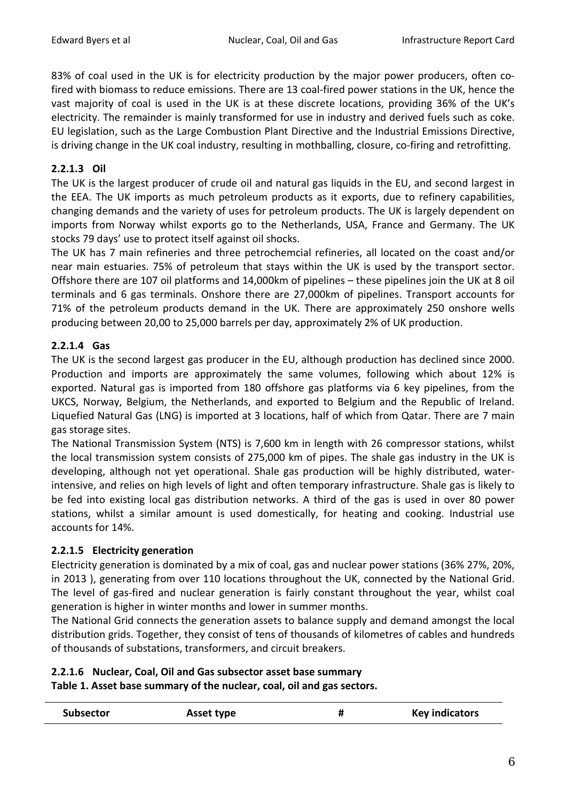83% of coal used in the UK is for electricity production by the major power producers, often cofired with biomass to reduce emissions. There are 13 coal-fired power stations in the UK, hence the vast majority of coal is used in the UK is at these discrete locations, providing 36% of the UK's electricity. The remainder is mainly transformed for use in industry and derived fuels such as coke. EU legislation, such as the Large Combustion Plant Directive and the Industrial Emissions Directive, is driving change in the UK coal industry, resulting in mothballing, closure, co-firing and retrofitting.

## **2.2.1.3 Oil**

The UK is the largest producer of crude oil and natural gas liquids in the EU, and second largest in the EEA. The UK imports as much petroleum products as it exports, due to refinery capabilities, changing demands and the variety of uses for petroleum products. The UK is largely dependent on imports from Norway whilst exports go to the Netherlands, USA, France and Germany. The UK stocks 79 days' use to protect itself against oil shocks.

The UK has 7 main refineries and three petrochemcial refineries, all located on the coast and/or near main estuaries. 75% of petroleum that stays within the UK is used by the transport sector. Offshore there are 107 oil platforms and 14,000km of pipelines – these pipelines join the UK at 8 oil terminals and 6 gas terminals. Onshore there are 27,000km of pipelines. Transport accounts for 71% of the petroleum products demand in the UK. There are approximately 250 onshore wells producing between 20,00 to 25,000 barrels per day, approximately 2% of UK production.

## **2.2.1.4 Gas**

The UK is the second largest gas producer in the EU, although production has declined since 2000. Production and imports are approximately the same volumes, following which about 12% is exported. Natural gas is imported from 180 offshore gas platforms via 6 key pipelines, from the UKCS, Norway, Belgium, the Netherlands, and exported to Belgium and the Republic of Ireland. Liquefied Natural Gas (LNG) is imported at 3 locations, half of which from Qatar. There are 7 main gas storage sites.

The National Transmission System (NTS) is 7,600 km in length with 26 compressor stations, whilst the local transmission system consists of 275,000 km of pipes. The shale gas industry in the UK is developing, although not yet operational. Shale gas production will be highly distributed, waterintensive, and relies on high levels of light and often temporary infrastructure. Shale gas is likely to be fed into existing local gas distribution networks. A third of the gas is used in over 80 power stations, whilst a similar amount is used domestically, for heating and cooking. Industrial use accounts for 14%.

## **2.2.1.5 Electricity generation**

Electricity generation is dominated by a mix of coal, gas and nuclear power stations (36% 27%, 20%, in 2013 ), generating from over 110 locations throughout the UK, connected by the National Grid. The level of gas-fired and nuclear generation is fairly constant throughout the year, whilst coal generation is higher in winter months and lower in summer months.

The National Grid connects the generation assets to balance supply and demand amongst the local distribution grids. Together, they consist of tens of thousands of kilometres of cables and hundreds of thousands of substations, transformers, and circuit breakers.

## **2.2.1.6 Nuclear, Coal, Oil and Gas subsector asset base summary**

**Table 1. Asset base summary of the nuclear, coal, oil and gas sectors.**

| <b>Subsector</b> | Asset type | <b>Key indicators</b> |
|------------------|------------|-----------------------|
|                  |            |                       |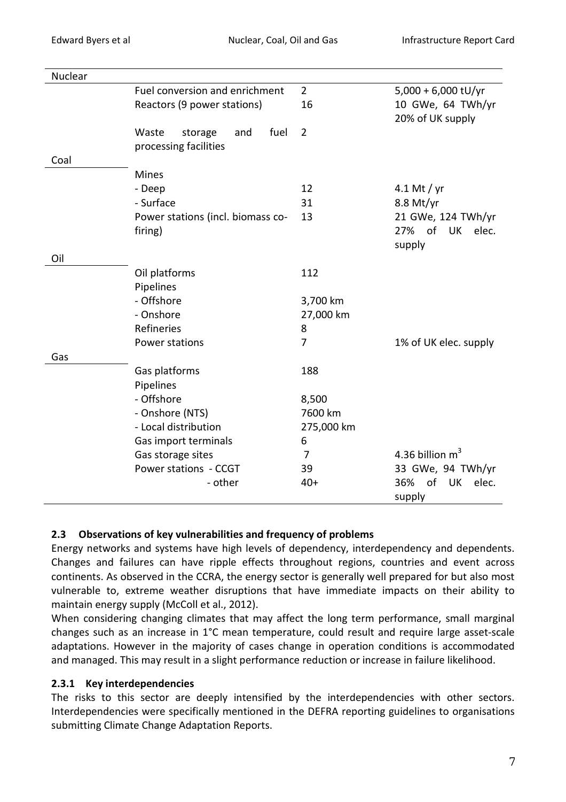| Nuclear |                                   |                |                          |
|---------|-----------------------------------|----------------|--------------------------|
|         | Fuel conversion and enrichment    | $\overline{2}$ | $5,000 + 6,000$ tU/yr    |
|         | Reactors (9 power stations)       | 16             | 10 GWe, 64 TWh/yr        |
|         |                                   |                | 20% of UK supply         |
|         | Waste<br>fuel<br>storage<br>and   | $\overline{2}$ |                          |
|         | processing facilities             |                |                          |
| Coal    |                                   |                |                          |
|         | <b>Mines</b>                      |                |                          |
|         | - Deep                            | 12             | 4.1 Mt / $yr$            |
|         | - Surface                         | 31             | $8.8$ Mt/yr              |
|         | Power stations (incl. biomass co- | 13             | 21 GWe, 124 TWh/yr       |
|         | firing)                           |                | 27% of<br>UK elec.       |
|         |                                   |                | supply                   |
| Oil     |                                   |                |                          |
|         | Oil platforms                     | 112            |                          |
|         | Pipelines                         |                |                          |
|         | - Offshore                        | 3,700 km       |                          |
|         | - Onshore                         | 27,000 km      |                          |
|         | Refineries                        | 8              |                          |
|         | Power stations                    | 7              | 1% of UK elec. supply    |
| Gas     |                                   |                |                          |
|         | Gas platforms                     | 188            |                          |
|         | Pipelines                         |                |                          |
|         | - Offshore                        | 8,500          |                          |
|         | - Onshore (NTS)                   | 7600 km        |                          |
|         | - Local distribution              | 275,000 km     |                          |
|         | Gas import terminals              | 6              |                          |
|         | Gas storage sites                 | 7              | 4.36 billion $m3$        |
|         | Power stations - CCGT             | 39             | 33 GWe, 94 TWh/yr        |
|         | - other                           | $40+$          | of<br>36%<br>UK<br>elec. |
|         |                                   |                | supply                   |

#### **2.3 Observations of key vulnerabilities and frequency of problems**

Energy networks and systems have high levels of dependency, interdependency and dependents. Changes and failures can have ripple effects throughout regions, countries and event across continents. As observed in the CCRA, the energy sector is generally well prepared for but also most vulnerable to, extreme weather disruptions that have immediate impacts on their ability to maintain energy supply (McColl et al., 2012).

When considering changing climates that may affect the long term performance, small marginal changes such as an increase in 1°C mean temperature, could result and require large asset-scale adaptations. However in the majority of cases change in operation conditions is accommodated and managed. This may result in a slight performance reduction or increase in failure likelihood.

## **2.3.1 Key interdependencies**

The risks to this sector are deeply intensified by the interdependencies with other sectors. Interdependencies were specifically mentioned in the DEFRA reporting guidelines to organisations submitting Climate Change Adaptation Reports.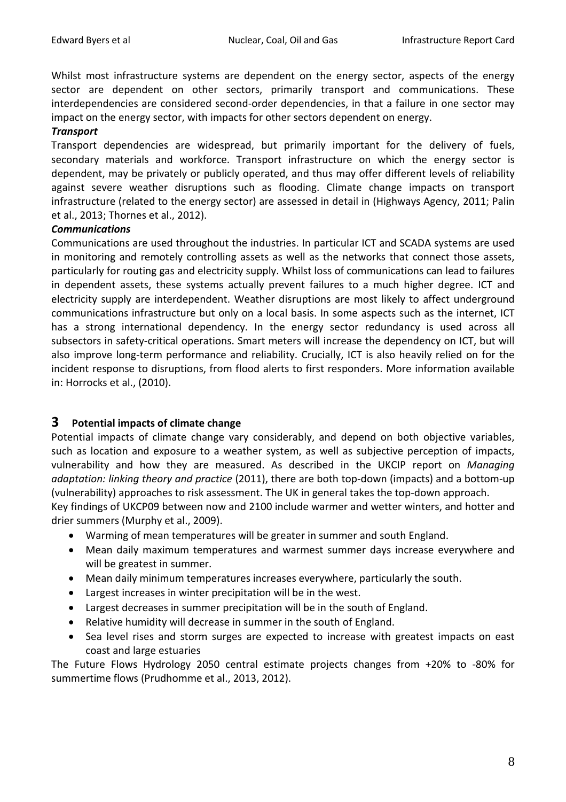Whilst most infrastructure systems are dependent on the energy sector, aspects of the energy sector are dependent on other sectors, primarily transport and communications. These interdependencies are considered second-order dependencies, in that a failure in one sector may impact on the energy sector, with impacts for other sectors dependent on energy.

#### *Transport*

Transport dependencies are widespread, but primarily important for the delivery of fuels, secondary materials and workforce. Transport infrastructure on which the energy sector is dependent, may be privately or publicly operated, and thus may offer different levels of reliability against severe weather disruptions such as flooding. Climate change impacts on transport infrastructure (related to the energy sector) are assessed in detail in (Highways Agency, 2011; Palin et al., 2013; Thornes et al., 2012).

#### *Communications*

Communications are used throughout the industries. In particular ICT and SCADA systems are used in monitoring and remotely controlling assets as well as the networks that connect those assets, particularly for routing gas and electricity supply. Whilst loss of communications can lead to failures in dependent assets, these systems actually prevent failures to a much higher degree. ICT and electricity supply are interdependent. Weather disruptions are most likely to affect underground communications infrastructure but only on a local basis. In some aspects such as the internet, ICT has a strong international dependency. In the energy sector redundancy is used across all subsectors in safety-critical operations. Smart meters will increase the dependency on ICT, but will also improve long-term performance and reliability. Crucially, ICT is also heavily relied on for the incident response to disruptions, from flood alerts to first responders. More information available in: Horrocks et al., (2010).

## **3 Potential impacts of climate change**

Potential impacts of climate change vary considerably, and depend on both objective variables, such as location and exposure to a weather system, as well as subjective perception of impacts, vulnerability and how they are measured. As described in the UKCIP report on *Managing adaptation: linking theory and practice* (2011), there are both top-down (impacts) and a bottom-up (vulnerability) approaches to risk assessment. The UK in general takes the top-down approach.

Key findings of UKCP09 between now and 2100 include warmer and wetter winters, and hotter and drier summers (Murphy et al., 2009).

- Warming of mean temperatures will be greater in summer and south England.
- Mean daily maximum temperatures and warmest summer days increase everywhere and will be greatest in summer.
- Mean daily minimum temperatures increases everywhere, particularly the south.
- Largest increases in winter precipitation will be in the west.
- Largest decreases in summer precipitation will be in the south of England.
- Relative humidity will decrease in summer in the south of England.
- Sea level rises and storm surges are expected to increase with greatest impacts on east coast and large estuaries

The Future Flows Hydrology 2050 central estimate projects changes from +20% to -80% for summertime flows (Prudhomme et al., 2013, 2012).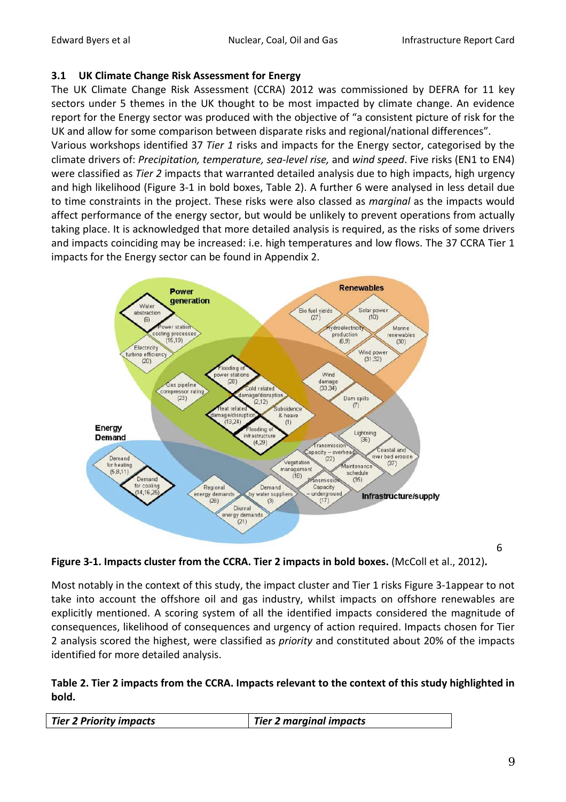#### **3.1 UK Climate Change Risk Assessment for Energy**

The UK Climate Change Risk Assessment (CCRA) 2012 was commissioned by DEFRA for 11 key sectors under 5 themes in the UK thought to be most impacted by climate change. An evidence report for the Energy sector was produced with the objective of "a consistent picture of risk for the UK and allow for some comparison between disparate risks and regional/national differences".

Various workshops identified 37 *Tier 1* risks and impacts for the Energy sector, categorised by the climate drivers of: *Precipitation, temperature, sea-level rise,* and *wind speed*. Five risks (EN1 to EN4) were classified as *Tier 2* impacts that warranted detailed analysis due to high impacts, high urgency and high likelihood [\(Figure 3-1](#page-8-0) in bold boxes, [Table 2\)](#page-8-1). A further 6 were analysed in less detail due to time constraints in the project. These risks were also classed as *marginal* as the impacts would affect performance of the energy sector, but would be unlikely to prevent operations from actually taking place. It is acknowledged that more detailed analysis is required, as the risks of some drivers and impacts coinciding may be increased: i.e. high temperatures and low flows. The 37 CCRA Tier 1 impacts for the Energy sector can be found in Appendix 2.



6

<span id="page-8-0"></span>**Figure 3-1. Impacts cluster from the CCRA. Tier 2 impacts in bold boxes.** (McColl et al., 2012)**.**

Most notably in the context of this study, the impact cluster and Tier 1 risks [Figure 3-1a](#page-8-0)ppear to not take into account the offshore oil and gas industry, whilst impacts on offshore renewables are explicitly mentioned. A scoring system of all the identified impacts considered the magnitude of consequences, likelihood of consequences and urgency of action required. Impacts chosen for Tier 2 analysis scored the highest, were classified as *priority* and constituted about 20% of the impacts identified for more detailed analysis.

#### <span id="page-8-1"></span>**Table 2. Tier 2 impacts from the CCRA. Impacts relevant to the context of this study highlighted in bold.**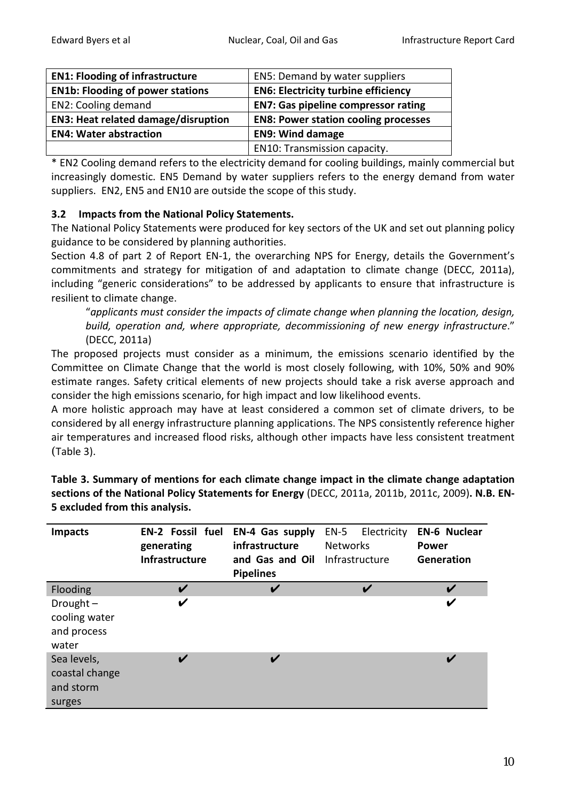| <b>EN1: Flooding of infrastructure</b>     | EN5: Demand by water suppliers              |
|--------------------------------------------|---------------------------------------------|
| <b>EN1b: Flooding of power stations</b>    | <b>EN6: Electricity turbine efficiency</b>  |
| <b>EN2: Cooling demand</b>                 | <b>EN7: Gas pipeline compressor rating</b>  |
| <b>EN3: Heat related damage/disruption</b> | <b>EN8: Power station cooling processes</b> |
| <b>EN4: Water abstraction</b>              | <b>EN9: Wind damage</b>                     |
|                                            | EN10: Transmission capacity.                |

\* EN2 Cooling demand refers to the electricity demand for cooling buildings, mainly commercial but increasingly domestic. EN5 Demand by water suppliers refers to the energy demand from water suppliers. EN2, EN5 and EN10 are outside the scope of this study.

## **3.2 Impacts from the National Policy Statements.**

The National Policy Statements were produced for key sectors of the UK and set out planning policy guidance to be considered by planning authorities.

Section 4.8 of part 2 of Report EN-1, the overarching NPS for Energy, details the Government's commitments and strategy for mitigation of and adaptation to climate change (DECC, 2011a), including "generic considerations" to be addressed by applicants to ensure that infrastructure is resilient to climate change.

"*applicants must consider the impacts of climate change when planning the location, design, build, operation and, where appropriate, decommissioning of new energy infrastructure*." (DECC, 2011a)

The proposed projects must consider as a minimum, the emissions scenario identified by the Committee on Climate Change that the world is most closely following, with 10%, 50% and 90% estimate ranges. Safety critical elements of new projects should take a risk averse approach and consider the high emissions scenario, for high impact and low likelihood events.

A more holistic approach may have at least considered a common set of climate drivers, to be considered by all energy infrastructure planning applications. The NPS consistently reference higher air temperatures and increased flood risks, although other impacts have less consistent treatment [\(](#page-9-0)[Table 3\)](#page-9-0).

<span id="page-9-0"></span>**Table 3. Summary of mentions for each climate change impact in the climate change adaptation sections of the National Policy Statements for Energy** (DECC, 2011a, 2011b, 2011c, 2009)**. N.B. EN-5 excluded from this analysis.**

| <b>Impacts</b>                                       | <b>EN-2 Fossil fuel</b><br>generating<br><b>Infrastructure</b> | <b>EN-4 Gas supply</b><br>infrastructure<br>and Gas and Oil<br><b>Pipelines</b> | $EN-5$<br>Electricity<br><b>Networks</b><br>Infrastructure | <b>EN-6 Nuclear</b><br><b>Power</b><br><b>Generation</b> |
|------------------------------------------------------|----------------------------------------------------------------|---------------------------------------------------------------------------------|------------------------------------------------------------|----------------------------------------------------------|
|                                                      |                                                                |                                                                                 |                                                            |                                                          |
| Flooding                                             | V                                                              | V                                                                               | V                                                          | V                                                        |
| Drought $-$<br>cooling water<br>and process<br>water | V                                                              |                                                                                 |                                                            | V                                                        |
| Sea levels,<br>coastal change<br>and storm<br>surges | V                                                              | V                                                                               |                                                            | $\boldsymbol{\nu}$                                       |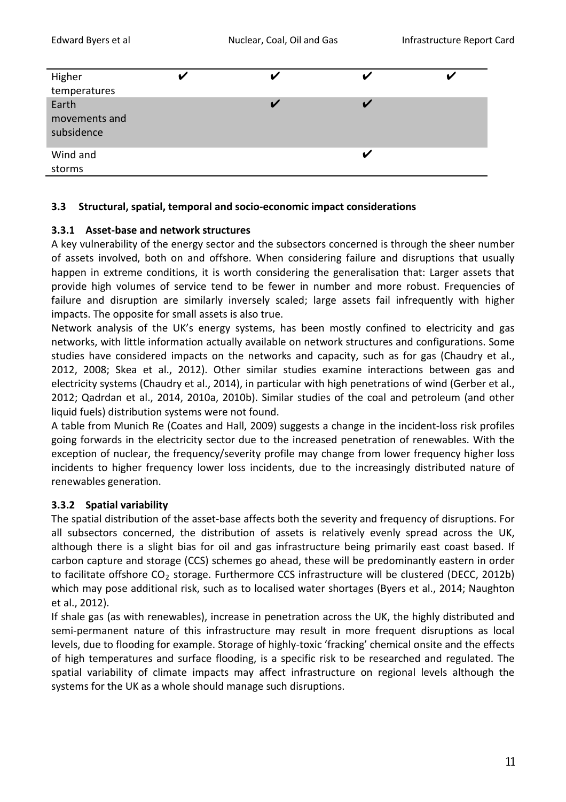| Higher        |  |  |
|---------------|--|--|
| temperatures  |  |  |
| Earth         |  |  |
| movements and |  |  |
| subsidence    |  |  |
| Wind and      |  |  |
| storms        |  |  |
|               |  |  |

#### **3.3 Structural, spatial, temporal and socio-economic impact considerations**

#### **3.3.1 Asset-base and network structures**

A key vulnerability of the energy sector and the subsectors concerned is through the sheer number of assets involved, both on and offshore. When considering failure and disruptions that usually happen in extreme conditions, it is worth considering the generalisation that: Larger assets that provide high volumes of service tend to be fewer in number and more robust. Frequencies of failure and disruption are similarly inversely scaled; large assets fail infrequently with higher impacts. The opposite for small assets is also true.

Network analysis of the UK's energy systems, has been mostly confined to electricity and gas networks, with little information actually available on network structures and configurations. Some studies have considered impacts on the networks and capacity, such as for gas (Chaudry et al., 2012, 2008; Skea et al., 2012). Other similar studies examine interactions between gas and electricity systems (Chaudry et al., 2014), in particular with high penetrations of wind (Gerber et al., 2012; Qadrdan et al., 2014, 2010a, 2010b). Similar studies of the coal and petroleum (and other liquid fuels) distribution systems were not found.

A table from Munich Re (Coates and Hall, 2009) suggests a change in the incident-loss risk profiles going forwards in the electricity sector due to the increased penetration of renewables. With the exception of nuclear, the frequency/severity profile may change from lower frequency higher loss incidents to higher frequency lower loss incidents, due to the increasingly distributed nature of renewables generation.

## **3.3.2 Spatial variability**

The spatial distribution of the asset-base affects both the severity and frequency of disruptions. For all subsectors concerned, the distribution of assets is relatively evenly spread across the UK, although there is a slight bias for oil and gas infrastructure being primarily east coast based. If carbon capture and storage (CCS) schemes go ahead, these will be predominantly eastern in order to facilitate offshore  $CO<sub>2</sub>$  storage. Furthermore CCS infrastructure will be clustered (DECC, 2012b) which may pose additional risk, such as to localised water shortages (Byers et al., 2014; Naughton et al., 2012).

If shale gas (as with renewables), increase in penetration across the UK, the highly distributed and semi-permanent nature of this infrastructure may result in more frequent disruptions as local levels, due to flooding for example. Storage of highly-toxic 'fracking' chemical onsite and the effects of high temperatures and surface flooding, is a specific risk to be researched and regulated. The spatial variability of climate impacts may affect infrastructure on regional levels although the systems for the UK as a whole should manage such disruptions.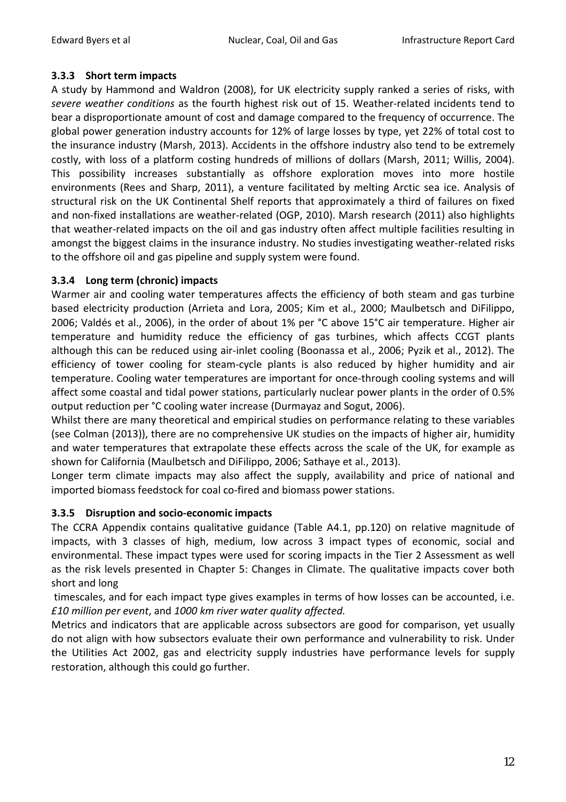### **3.3.3 Short term impacts**

A study by Hammond and Waldron (2008), for UK electricity supply ranked a series of risks, with *severe weather conditions* as the fourth highest risk out of 15. Weather-related incidents tend to bear a disproportionate amount of cost and damage compared to the frequency of occurrence. The global power generation industry accounts for 12% of large losses by type, yet 22% of total cost to the insurance industry (Marsh, 2013). Accidents in the offshore industry also tend to be extremely costly, with loss of a platform costing hundreds of millions of dollars (Marsh, 2011; Willis, 2004). This possibility increases substantially as offshore exploration moves into more hostile environments (Rees and Sharp, 2011), a venture facilitated by melting Arctic sea ice. Analysis of structural risk on the UK Continental Shelf reports that approximately a third of failures on fixed and non-fixed installations are weather-related (OGP, 2010). Marsh research (2011) also highlights that weather-related impacts on the oil and gas industry often affect multiple facilities resulting in amongst the biggest claims in the insurance industry. No studies investigating weather-related risks to the offshore oil and gas pipeline and supply system were found.

### **3.3.4 Long term (chronic) impacts**

Warmer air and cooling water temperatures affects the efficiency of both steam and gas turbine based electricity production (Arrieta and Lora, 2005; Kim et al., 2000; Maulbetsch and DiFilippo, 2006; Valdés et al., 2006), in the order of about 1% per °C above 15°C air temperature. Higher air temperature and humidity reduce the efficiency of gas turbines, which affects CCGT plants although this can be reduced using air-inlet cooling (Boonassa et al., 2006; Pyzik et al., 2012). The efficiency of tower cooling for steam-cycle plants is also reduced by higher humidity and air temperature. Cooling water temperatures are important for once-through cooling systems and will affect some coastal and tidal power stations, particularly nuclear power plants in the order of 0.5% output reduction per °C cooling water increase (Durmayaz and Sogut, 2006).

Whilst there are many theoretical and empirical studies on performance relating to these variables (see Colman (2013)), there are no comprehensive UK studies on the impacts of higher air, humidity and water temperatures that extrapolate these effects across the scale of the UK, for example as shown for California (Maulbetsch and DiFilippo, 2006; Sathaye et al., 2013).

Longer term climate impacts may also affect the supply, availability and price of national and imported biomass feedstock for coal co-fired and biomass power stations.

## **3.3.5 Disruption and socio-economic impacts**

The CCRA Appendix contains qualitative guidance (Table A4.1, pp.120) on relative magnitude of impacts, with 3 classes of high, medium, low across 3 impact types of economic, social and environmental. These impact types were used for scoring impacts in the Tier 2 Assessment as well as the risk levels presented in Chapter 5: Changes in Climate. The qualitative impacts cover both short and long

timescales, and for each impact type gives examples in terms of how losses can be accounted, i.e. *£10 million per event*, and *1000 km river water quality affected.*

Metrics and indicators that are applicable across subsectors are good for comparison, yet usually do not align with how subsectors evaluate their own performance and vulnerability to risk. Under the Utilities Act 2002, gas and electricity supply industries have performance levels for supply restoration, although this could go further.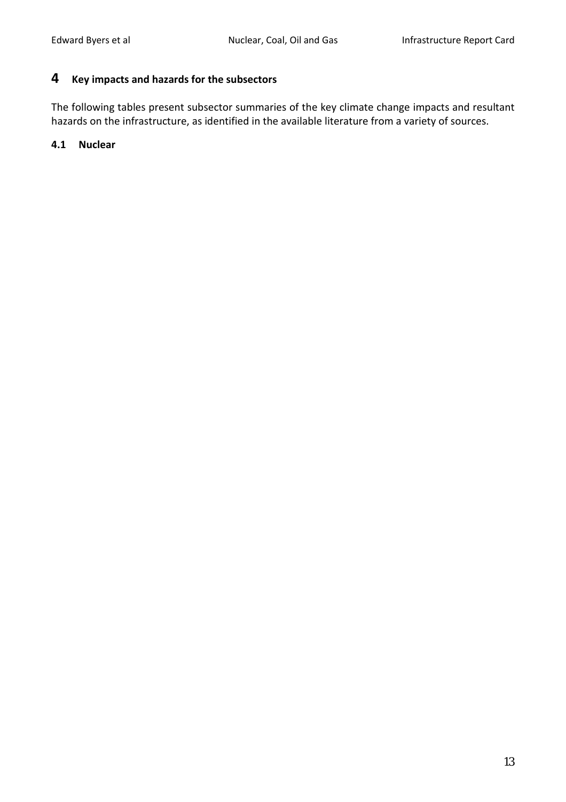## **4 Key impacts and hazards for the subsectors**

The following tables present subsector summaries of the key climate change impacts and resultant hazards on the infrastructure, as identified in the available literature from a variety of sources.

#### **4.1 Nuclear**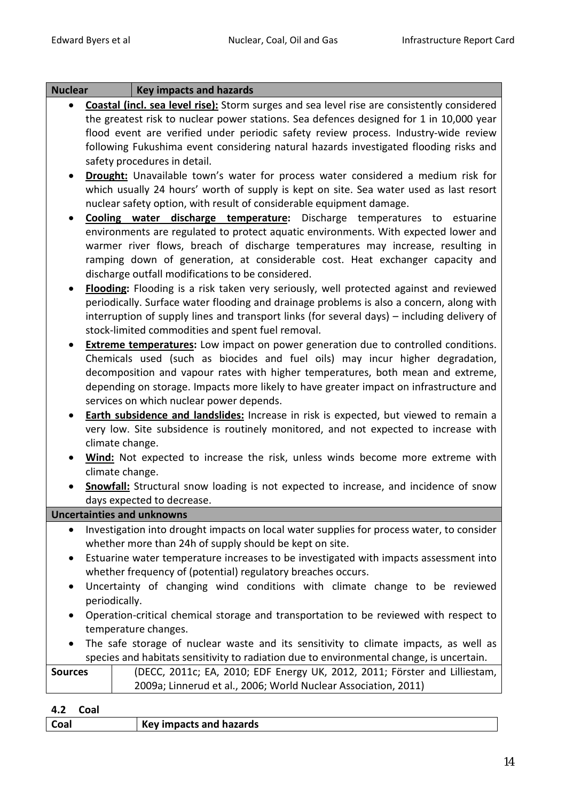| <b>Nuclear</b> | <b>Key impacts and hazards</b>                                                                     |
|----------------|----------------------------------------------------------------------------------------------------|
|                | <b>Coastal (incl. sea level rise):</b> Storm surges and sea level rise are consistently considered |
|                | the greatest risk to nuclear power stations. Sea defences designed for 1 in 10,000 year            |
|                | flood event are verified under periodic safety review process. Industry-wide review                |
|                | following Fukushima event considering natural hazards investigated flooding risks and              |
|                | safety procedures in detail.                                                                       |
|                | <b>Drought:</b> Unavailable town's water for process water considered a medium risk for            |
|                | which usually 24 hours' worth of supply is kept on site. Sea water used as last resort             |
|                | nuclear safety option, with result of considerable equipment damage.                               |
|                | Cooling water discharge temperature: Discharge temperatures to estuarine                           |
|                | environments are regulated to protect aquatic environments. With expected lower and                |
|                | warmer river flows, breach of discharge temperatures may increase, resulting in                    |
|                | ramping down of generation, at considerable cost. Heat exchanger capacity and                      |
|                | discharge outfall modifications to be considered.                                                  |
|                | Flooding: Flooding is a risk taken very seriously, well protected against and reviewed             |
|                | periodically. Surface water flooding and drainage problems is also a concern, along with           |
|                | interruption of supply lines and transport links (for several days) – including delivery of        |
|                | stock-limited commodities and spent fuel removal.                                                  |
|                | <b>Extreme temperatures:</b> Low impact on power generation due to controlled conditions.          |
|                | Chemicals used (such as biocides and fuel oils) may incur higher degradation,                      |
|                | decomposition and vapour rates with higher temperatures, both mean and extreme,                    |
|                | depending on storage. Impacts more likely to have greater impact on infrastructure and             |
|                | services on which nuclear power depends.                                                           |
|                | <b>Earth subsidence and landslides:</b> Increase in risk is expected, but viewed to remain a       |
|                | very low. Site subsidence is routinely monitored, and not expected to increase with                |
|                | climate change.                                                                                    |
|                | Wind: Not expected to increase the risk, unless winds become more extreme with                     |
|                | climate change.                                                                                    |
|                | <b>Snowfall:</b> Structural snow loading is not expected to increase, and incidence of snow        |
|                | days expected to decrease.                                                                         |
|                | <b>Uncertainties and unknowns</b>                                                                  |
|                | Investigation into drought impacts on local water supplies for process water, to consider          |
|                | whether more than 24h of supply should be kept on site.                                            |
|                | Estuarine water temperature increases to be investigated with impacts assessment into              |
|                | whether frequency of (potential) regulatory breaches occurs.                                       |
|                | Uncertainty of changing wind conditions with climate change to be reviewed                         |
|                | periodically.                                                                                      |
|                | Operation-critical chemical storage and transportation to be reviewed with respect to              |
|                | temperature changes.                                                                               |
|                | The safe storage of nuclear waste and its sensitivity to climate impacts, as well as               |
|                | species and habitats sensitivity to radiation due to environmental change, is uncertain.           |
| <b>Sources</b> | (DECC, 2011c; EA, 2010; EDF Energy UK, 2012, 2011; Förster and Lilliestam,                         |
|                | 2009a; Linnerud et al., 2006; World Nuclear Association, 2011)                                     |
|                |                                                                                                    |

**4.2 Coal**

| Coal | <b>Key impacts and hazards</b> |
|------|--------------------------------|
|      |                                |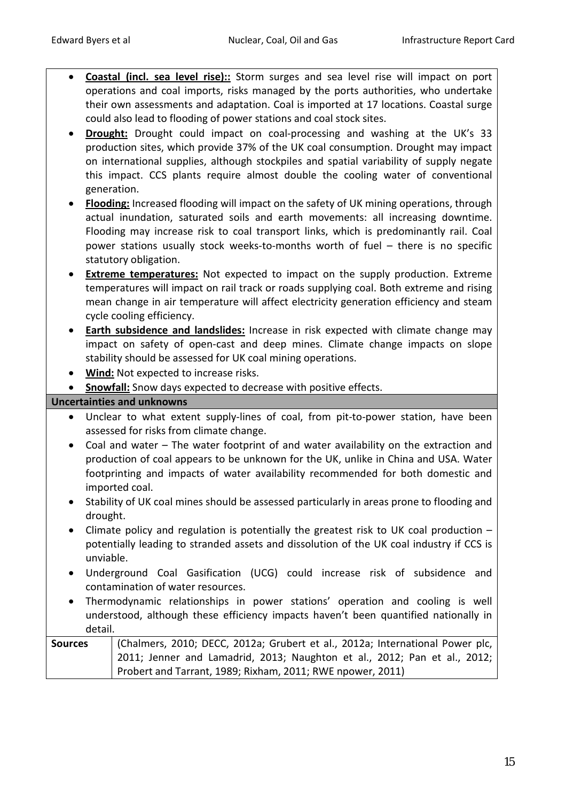- **Coastal (incl. sea level rise)::** Storm surges and sea level rise will impact on port operations and coal imports, risks managed by the ports authorities, who undertake their own assessments and adaptation. Coal is imported at 17 locations. Coastal surge could also lead to flooding of power stations and coal stock sites.
- **Drought:** Drought could impact on coal-processing and washing at the UK's 33 production sites, which provide 37% of the UK coal consumption. Drought may impact on international supplies, although stockpiles and spatial variability of supply negate this impact. CCS plants require almost double the cooling water of conventional generation.
- **Flooding:** Increased flooding will impact on the safety of UK mining operations, through actual inundation, saturated soils and earth movements: all increasing downtime. Flooding may increase risk to coal transport links, which is predominantly rail. Coal power stations usually stock weeks-to-months worth of fuel – there is no specific statutory obligation.
- **Extreme temperatures:** Not expected to impact on the supply production. Extreme temperatures will impact on rail track or roads supplying coal. Both extreme and rising mean change in air temperature will affect electricity generation efficiency and steam cycle cooling efficiency.
- **Earth subsidence and landslides:** Increase in risk expected with climate change may impact on safety of open-cast and deep mines. Climate change impacts on slope stability should be assessed for UK coal mining operations.
- **Wind:** Not expected to increase risks.
- **Snowfall:** Snow days expected to decrease with positive effects.

- Unclear to what extent supply-lines of coal, from pit-to-power station, have been assessed for risks from climate change.
- Coal and water The water footprint of and water availability on the extraction and production of coal appears to be unknown for the UK, unlike in China and USA. Water footprinting and impacts of water availability recommended for both domestic and imported coal.
- Stability of UK coal mines should be assessed particularly in areas prone to flooding and drought.
- Climate policy and regulation is potentially the greatest risk to UK coal production potentially leading to stranded assets and dissolution of the UK coal industry if CCS is unviable.
- Underground Coal Gasification (UCG) could increase risk of subsidence and contamination of water resources.
- Thermodynamic relationships in power stations' operation and cooling is well understood, although these efficiency impacts haven't been quantified nationally in detail.

| <b>Sources</b> | (Chalmers, 2010; DECC, 2012a; Grubert et al., 2012a; International Power plc, |
|----------------|-------------------------------------------------------------------------------|
|                | 2011; Jenner and Lamadrid, 2013; Naughton et al., 2012; Pan et al., 2012;     |
|                | Probert and Tarrant, 1989; Rixham, 2011; RWE npower, 2011)                    |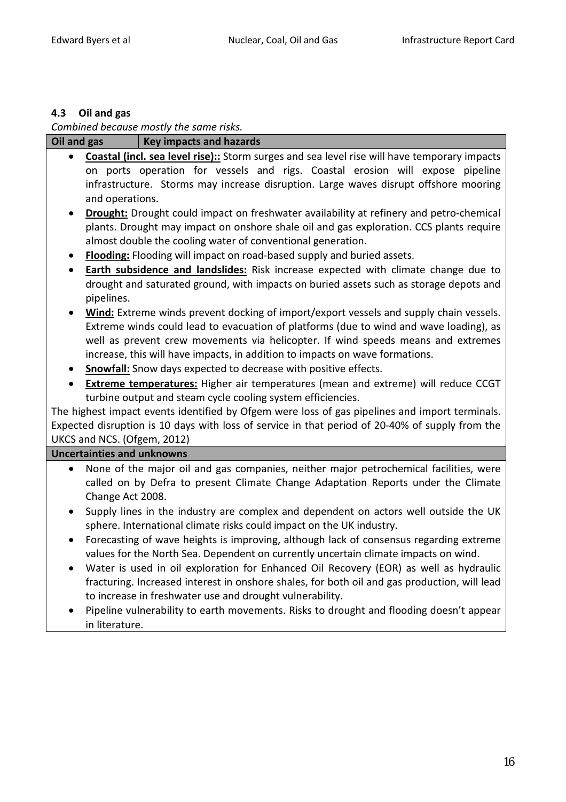# **4.3 Oil and gas**

*Combined because mostly the same risks.*

| Oil and gas | <b>Key impacts and hazards</b>                                                                                                                                                                    |
|-------------|---------------------------------------------------------------------------------------------------------------------------------------------------------------------------------------------------|
| $\bullet$   | <b>Coastal (incl. sea level rise)::</b> Storm surges and sea level rise will have temporary impacts                                                                                               |
|             | on ports operation for vessels and rigs. Coastal erosion will expose pipeline                                                                                                                     |
|             | infrastructure. Storms may increase disruption. Large waves disrupt offshore mooring                                                                                                              |
|             | and operations.                                                                                                                                                                                   |
|             | <b>Drought:</b> Drought could impact on freshwater availability at refinery and petro-chemical                                                                                                    |
|             | plants. Drought may impact on onshore shale oil and gas exploration. CCS plants require                                                                                                           |
|             | almost double the cooling water of conventional generation.                                                                                                                                       |
| $\bullet$   | Flooding: Flooding will impact on road-based supply and buried assets.                                                                                                                            |
| $\bullet$   | <b>Earth subsidence and landslides:</b> Risk increase expected with climate change due to                                                                                                         |
|             | drought and saturated ground, with impacts on buried assets such as storage depots and                                                                                                            |
| pipelines.  |                                                                                                                                                                                                   |
| $\bullet$   | Wind: Extreme winds prevent docking of import/export vessels and supply chain vessels.                                                                                                            |
|             | Extreme winds could lead to evacuation of platforms (due to wind and wave loading), as                                                                                                            |
|             | well as prevent crew movements via helicopter. If wind speeds means and extremes                                                                                                                  |
|             | increase, this will have impacts, in addition to impacts on wave formations.                                                                                                                      |
| $\bullet$   | <b>Snowfall:</b> Snow days expected to decrease with positive effects.                                                                                                                            |
| ٠           | <b>Extreme temperatures:</b> Higher air temperatures (mean and extreme) will reduce CCGT                                                                                                          |
|             | turbine output and steam cycle cooling system efficiencies.                                                                                                                                       |
|             | The highest impact events identified by Ofgem were loss of gas pipelines and import terminals.<br>Expected disruption is 10 days with loss of service in that period of 20-40% of supply from the |
|             | UKCS and NCS. (Ofgem, 2012)                                                                                                                                                                       |
|             | <b>Uncertainties and unknowns</b>                                                                                                                                                                 |
| $\bullet$   | None of the major oil and gas companies, neither major petrochemical facilities, were                                                                                                             |
|             | called on by Defra to present Climate Change Adaptation Reports under the Climate                                                                                                                 |
|             | Change Act 2008.                                                                                                                                                                                  |
| $\bullet$   | Supply lines in the industry are complex and dependent on actors well outside the UK                                                                                                              |
|             | sphere. International climate risks could impact on the UK industry.                                                                                                                              |
| $\bullet$   | Forecasting of wave heights is improving, although lack of consensus regarding extreme                                                                                                            |
|             | values for the North Sea. Dependent on currently uncertain climate impacts on wind.                                                                                                               |
|             | Water is used in oil exploration for Enhanced Oil Recovery (EOR) as well as hydraulic                                                                                                             |
|             | fracturing. Increased interest in onshore shales, for both oil and gas production, will lead                                                                                                      |
|             | to increase in freshwater use and drought vulnerability.                                                                                                                                          |
|             | Pipeline vulnerability to earth movements. Risks to drought and flooding doesn't appear                                                                                                           |
|             | in literature.                                                                                                                                                                                    |
|             |                                                                                                                                                                                                   |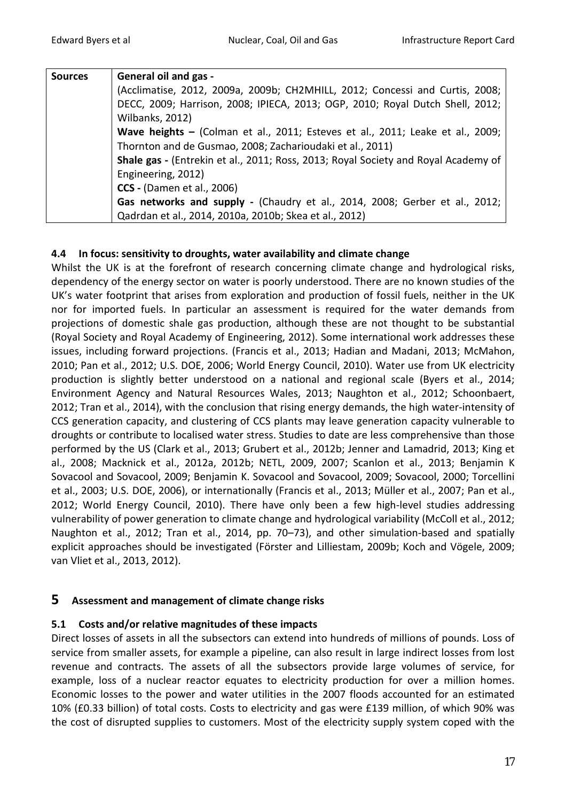| <b>Sources</b> | <b>General oil and gas -</b>                                                       |
|----------------|------------------------------------------------------------------------------------|
|                | (Acclimatise, 2012, 2009a, 2009b; CH2MHILL, 2012; Concessi and Curtis, 2008;       |
|                | DECC, 2009; Harrison, 2008; IPIECA, 2013; OGP, 2010; Royal Dutch Shell, 2012;      |
|                | Wilbanks, 2012)                                                                    |
|                | Wave heights - (Colman et al., 2011; Esteves et al., 2011; Leake et al., 2009;     |
|                | Thornton and de Gusmao, 2008; Zacharioudaki et al., 2011)                          |
|                | Shale gas - (Entrekin et al., 2011; Ross, 2013; Royal Society and Royal Academy of |
|                | Engineering, 2012)                                                                 |
|                | <b>CCS</b> - (Damen et al., 2006)                                                  |
|                | Gas networks and supply - (Chaudry et al., 2014, 2008; Gerber et al., 2012;        |
|                | Qadrdan et al., 2014, 2010a, 2010b; Skea et al., 2012)                             |

#### **4.4 In focus: sensitivity to droughts, water availability and climate change**

Whilst the UK is at the forefront of research concerning climate change and hydrological risks, dependency of the energy sector on water is poorly understood. There are no known studies of the UK's water footprint that arises from exploration and production of fossil fuels, neither in the UK nor for imported fuels. In particular an assessment is required for the water demands from projections of domestic shale gas production, although these are not thought to be substantial (Royal Society and Royal Academy of Engineering, 2012). Some international work addresses these issues, including forward projections. (Francis et al., 2013; Hadian and Madani, 2013; McMahon, 2010; Pan et al., 2012; U.S. DOE, 2006; World Energy Council, 2010). Water use from UK electricity production is slightly better understood on a national and regional scale (Byers et al., 2014; Environment Agency and Natural Resources Wales, 2013; Naughton et al., 2012; Schoonbaert, 2012; Tran et al., 2014), with the conclusion that rising energy demands, the high water-intensity of CCS generation capacity, and clustering of CCS plants may leave generation capacity vulnerable to droughts or contribute to localised water stress. Studies to date are less comprehensive than those performed by the US (Clark et al., 2013; Grubert et al., 2012b; Jenner and Lamadrid, 2013; King et al., 2008; Macknick et al., 2012a, 2012b; NETL, 2009, 2007; Scanlon et al., 2013; Benjamin K Sovacool and Sovacool, 2009; Benjamin K. Sovacool and Sovacool, 2009; Sovacool, 2000; Torcellini et al., 2003; U.S. DOE, 2006), or internationally (Francis et al., 2013; Müller et al., 2007; Pan et al., 2012; World Energy Council, 2010). There have only been a few high-level studies addressing vulnerability of power generation to climate change and hydrological variability (McColl et al., 2012; Naughton et al., 2012; Tran et al., 2014, pp. 70–73), and other simulation-based and spatially explicit approaches should be investigated (Förster and Lilliestam, 2009b; Koch and Vögele, 2009; van Vliet et al., 2013, 2012).

#### **5 Assessment and management of climate change risks**

#### **5.1 Costs and/or relative magnitudes of these impacts**

Direct losses of assets in all the subsectors can extend into hundreds of millions of pounds. Loss of service from smaller assets, for example a pipeline, can also result in large indirect losses from lost revenue and contracts. The assets of all the subsectors provide large volumes of service, for example, loss of a nuclear reactor equates to electricity production for over a million homes. Economic losses to the power and water utilities in the 2007 floods accounted for an estimated 10% (£0.33 billion) of total costs. Costs to electricity and gas were £139 million, of which 90% was the cost of disrupted supplies to customers. Most of the electricity supply system coped with the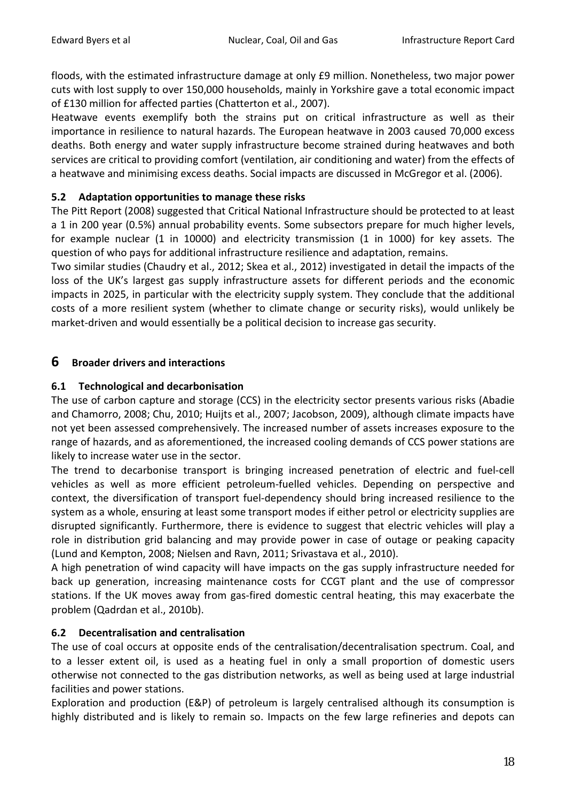floods, with the estimated infrastructure damage at only £9 million. Nonetheless, two major power cuts with lost supply to over 150,000 households, mainly in Yorkshire gave a total economic impact of £130 million for affected parties (Chatterton et al., 2007).

Heatwave events exemplify both the strains put on critical infrastructure as well as their importance in resilience to natural hazards. The European heatwave in 2003 caused 70,000 excess deaths. Both energy and water supply infrastructure become strained during heatwaves and both services are critical to providing comfort (ventilation, air conditioning and water) from the effects of a heatwave and minimising excess deaths. Social impacts are discussed in McGregor et al. (2006).

## **5.2 Adaptation opportunities to manage these risks**

The Pitt Report (2008) suggested that Critical National Infrastructure should be protected to at least a 1 in 200 year (0.5%) annual probability events. Some subsectors prepare for much higher levels, for example nuclear (1 in 10000) and electricity transmission (1 in 1000) for key assets. The question of who pays for additional infrastructure resilience and adaptation, remains.

Two similar studies (Chaudry et al., 2012; Skea et al., 2012) investigated in detail the impacts of the loss of the UK's largest gas supply infrastructure assets for different periods and the economic impacts in 2025, in particular with the electricity supply system. They conclude that the additional costs of a more resilient system (whether to climate change or security risks), would unlikely be market-driven and would essentially be a political decision to increase gas security.

## **6 Broader drivers and interactions**

## **6.1 Technological and decarbonisation**

The use of carbon capture and storage (CCS) in the electricity sector presents various risks (Abadie and Chamorro, 2008; Chu, 2010; Huijts et al., 2007; Jacobson, 2009), although climate impacts have not yet been assessed comprehensively. The increased number of assets increases exposure to the range of hazards, and as aforementioned, the increased cooling demands of CCS power stations are likely to increase water use in the sector.

The trend to decarbonise transport is bringing increased penetration of electric and fuel-cell vehicles as well as more efficient petroleum-fuelled vehicles. Depending on perspective and context, the diversification of transport fuel-dependency should bring increased resilience to the system as a whole, ensuring at least some transport modes if either petrol or electricity supplies are disrupted significantly. Furthermore, there is evidence to suggest that electric vehicles will play a role in distribution grid balancing and may provide power in case of outage or peaking capacity (Lund and Kempton, 2008; Nielsen and Ravn, 2011; Srivastava et al., 2010).

A high penetration of wind capacity will have impacts on the gas supply infrastructure needed for back up generation, increasing maintenance costs for CCGT plant and the use of compressor stations. If the UK moves away from gas-fired domestic central heating, this may exacerbate the problem (Qadrdan et al., 2010b).

#### **6.2 Decentralisation and centralisation**

The use of coal occurs at opposite ends of the centralisation/decentralisation spectrum. Coal, and to a lesser extent oil, is used as a heating fuel in only a small proportion of domestic users otherwise not connected to the gas distribution networks, as well as being used at large industrial facilities and power stations.

Exploration and production (E&P) of petroleum is largely centralised although its consumption is highly distributed and is likely to remain so. Impacts on the few large refineries and depots can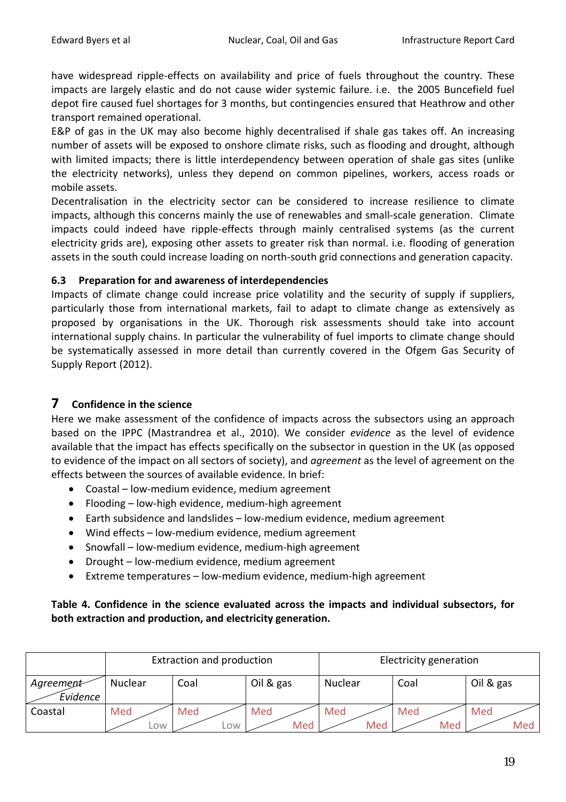have widespread ripple-effects on availability and price of fuels throughout the country. These impacts are largely elastic and do not cause wider systemic failure. i.e. the 2005 Buncefield fuel depot fire caused fuel shortages for 3 months, but contingencies ensured that Heathrow and other transport remained operational.

E&P of gas in the UK may also become highly decentralised if shale gas takes off. An increasing number of assets will be exposed to onshore climate risks, such as flooding and drought, although with limited impacts; there is little interdependency between operation of shale gas sites (unlike the electricity networks), unless they depend on common pipelines, workers, access roads or mobile assets.

Decentralisation in the electricity sector can be considered to increase resilience to climate impacts, although this concerns mainly the use of renewables and small-scale generation. Climate impacts could indeed have ripple-effects through mainly centralised systems (as the current electricity grids are), exposing other assets to greater risk than normal. i.e. flooding of generation assets in the south could increase loading on north-south grid connections and generation capacity.

#### **6.3 Preparation for and awareness of interdependencies**

Impacts of climate change could increase price volatility and the security of supply if suppliers, particularly those from international markets, fail to adapt to climate change as extensively as proposed by organisations in the UK. Thorough risk assessments should take into account international supply chains. In particular the vulnerability of fuel imports to climate change should be systematically assessed in more detail than currently covered in the Ofgem Gas Security of Supply Report (2012).

# **7 Confidence in the science**

Here we make assessment of the confidence of impacts across the subsectors using an approach based on the IPPC (Mastrandrea et al., 2010). We consider *evidence* as the level of evidence available that the impact has effects specifically on the subsector in question in the UK (as opposed to evidence of the impact on all sectors of society), and *agreement* as the level of agreement on the effects between the sources of available evidence. In brief:

- Coastal low-medium evidence, medium agreement
- Flooding low-high evidence, medium-high agreement
- Earth subsidence and landslides low-medium evidence, medium agreement
- Wind effects low-medium evidence, medium agreement
- Snowfall low-medium evidence, medium-high agreement
- Drought low-medium evidence, medium agreement
- Extreme temperatures low-medium evidence, medium-high agreement

## **Table 4. Confidence in the science evaluated across the impacts and individual subsectors, for both extraction and production, and electricity generation.**

|                       |            | Extraction and production |            | Electricity generation |            |            |  |  |
|-----------------------|------------|---------------------------|------------|------------------------|------------|------------|--|--|
| Agreement<br>Evidence | Nuclear    | Coal                      | Oil & gas  | Nuclear                | Coal       | Oil & gas  |  |  |
| Coastal               | Med<br>LOW | Med<br>∟0W                | Med<br>Med | Med<br>Med             | Med<br>Med | Med<br>Med |  |  |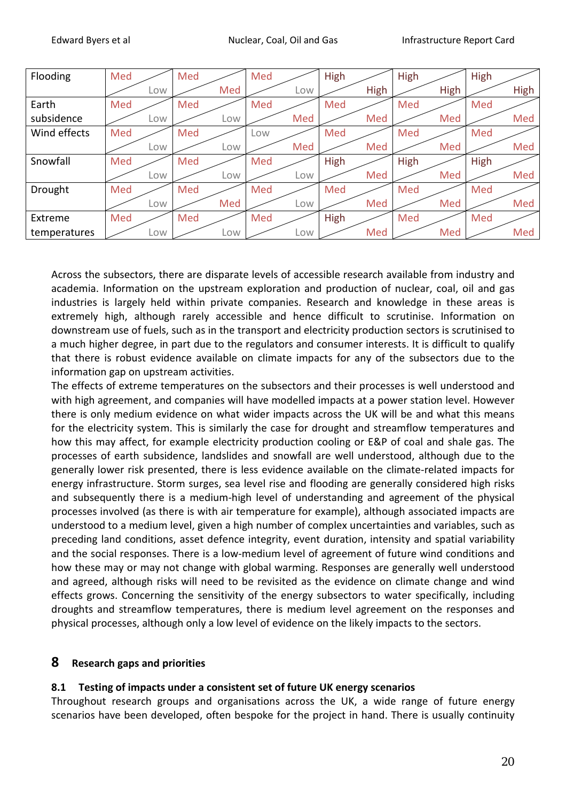| Flooding     | Med |     | Med |     | Med |     | High |             | High |             | High |      |
|--------------|-----|-----|-----|-----|-----|-----|------|-------------|------|-------------|------|------|
|              |     | Low |     | Med |     | Low |      | <b>High</b> |      | <b>High</b> |      | High |
| Earth        | Med |     | Med |     | Med |     | Med  |             | Med  |             | Med  |      |
| subsidence   |     | Low |     | Low |     | Med |      | Med         |      | Med         |      | Med  |
| Wind effects | Med |     | Med |     | Low |     | Med  |             | Med  |             | Med  |      |
|              |     | Low |     | Low |     | Med |      | Med         |      | Med         |      | Med  |
| Snowfall     | Med |     | Med |     | Med |     | High |             | High |             | High |      |
|              |     | Low |     | Low |     | Low |      | Med         |      | Med         |      | Med  |
| Drought      | Med |     | Med |     | Med |     | Med  |             | Med  |             | Med  |      |
|              |     | Low |     | Med |     | Low |      | Med         |      | Med         |      | Med  |
| Extreme      | Med |     | Med |     | Med |     | High |             | Med  |             | Med  |      |
| temperatures |     | Low |     | Low |     | Low |      | Med         |      | Med         |      | Med  |

Across the subsectors, there are disparate levels of accessible research available from industry and academia. Information on the upstream exploration and production of nuclear, coal, oil and gas industries is largely held within private companies. Research and knowledge in these areas is extremely high, although rarely accessible and hence difficult to scrutinise. Information on downstream use of fuels, such as in the transport and electricity production sectors is scrutinised to a much higher degree, in part due to the regulators and consumer interests. It is difficult to qualify that there is robust evidence available on climate impacts for any of the subsectors due to the information gap on upstream activities.

The effects of extreme temperatures on the subsectors and their processes is well understood and with high agreement, and companies will have modelled impacts at a power station level. However there is only medium evidence on what wider impacts across the UK will be and what this means for the electricity system. This is similarly the case for drought and streamflow temperatures and how this may affect, for example electricity production cooling or E&P of coal and shale gas. The processes of earth subsidence, landslides and snowfall are well understood, although due to the generally lower risk presented, there is less evidence available on the climate-related impacts for energy infrastructure. Storm surges, sea level rise and flooding are generally considered high risks and subsequently there is a medium-high level of understanding and agreement of the physical processes involved (as there is with air temperature for example), although associated impacts are understood to a medium level, given a high number of complex uncertainties and variables, such as preceding land conditions, asset defence integrity, event duration, intensity and spatial variability and the social responses. There is a low-medium level of agreement of future wind conditions and how these may or may not change with global warming. Responses are generally well understood and agreed, although risks will need to be revisited as the evidence on climate change and wind effects grows. Concerning the sensitivity of the energy subsectors to water specifically, including droughts and streamflow temperatures, there is medium level agreement on the responses and physical processes, although only a low level of evidence on the likely impacts to the sectors.

## **8 Research gaps and priorities**

#### **8.1 Testing of impacts under a consistent set of future UK energy scenarios**

Throughout research groups and organisations across the UK, a wide range of future energy scenarios have been developed, often bespoke for the project in hand. There is usually continuity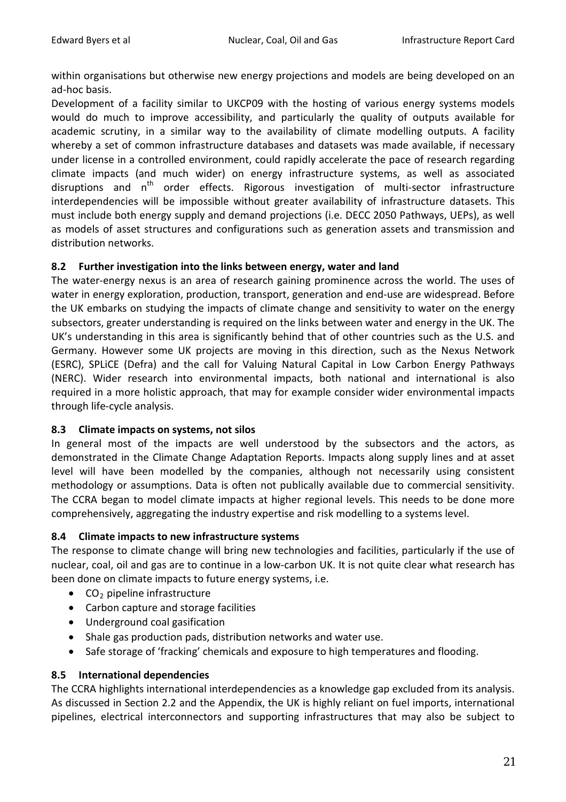within organisations but otherwise new energy projections and models are being developed on an ad-hoc basis.

Development of a facility similar to UKCP09 with the hosting of various energy systems models would do much to improve accessibility, and particularly the quality of outputs available for academic scrutiny, in a similar way to the availability of climate modelling outputs. A facility whereby a set of common infrastructure databases and datasets was made available, if necessary under license in a controlled environment, could rapidly accelerate the pace of research regarding climate impacts (and much wider) on energy infrastructure systems, as well as associated disruptions and  $n^{th}$  order effects. Rigorous investigation of multi-sector infrastructure interdependencies will be impossible without greater availability of infrastructure datasets. This must include both energy supply and demand projections (i.e. DECC 2050 Pathways, UEPs), as well as models of asset structures and configurations such as generation assets and transmission and distribution networks.

#### **8.2 Further investigation into the links between energy, water and land**

The water-energy nexus is an area of research gaining prominence across the world. The uses of water in energy exploration, production, transport, generation and end-use are widespread. Before the UK embarks on studying the impacts of climate change and sensitivity to water on the energy subsectors, greater understanding is required on the links between water and energy in the UK. The UK's understanding in this area is significantly behind that of other countries such as the U.S. and Germany. However some UK projects are moving in this direction, such as the Nexus Network (ESRC), SPLiCE (Defra) and the call for Valuing Natural Capital in Low Carbon Energy Pathways (NERC). Wider research into environmental impacts, both national and international is also required in a more holistic approach, that may for example consider wider environmental impacts through life-cycle analysis.

#### **8.3 Climate impacts on systems, not silos**

In general most of the impacts are well understood by the subsectors and the actors, as demonstrated in the Climate Change Adaptation Reports. Impacts along supply lines and at asset level will have been modelled by the companies, although not necessarily using consistent methodology or assumptions. Data is often not publically available due to commercial sensitivity. The CCRA began to model climate impacts at higher regional levels. This needs to be done more comprehensively, aggregating the industry expertise and risk modelling to a systems level.

#### **8.4 Climate impacts to new infrastructure systems**

The response to climate change will bring new technologies and facilities, particularly if the use of nuclear, coal, oil and gas are to continue in a low-carbon UK. It is not quite clear what research has been done on climate impacts to future energy systems, i.e.

- $CO<sub>2</sub>$  pipeline infrastructure
- Carbon capture and storage facilities
- Underground coal gasification
- Shale gas production pads, distribution networks and water use.
- Safe storage of 'fracking' chemicals and exposure to high temperatures and flooding.

#### **8.5 International dependencies**

The CCRA highlights international interdependencies as a knowledge gap excluded from its analysis. As discussed in Section [2.2](#page-3-0) and the Appendix, the UK is highly reliant on fuel imports, international pipelines, electrical interconnectors and supporting infrastructures that may also be subject to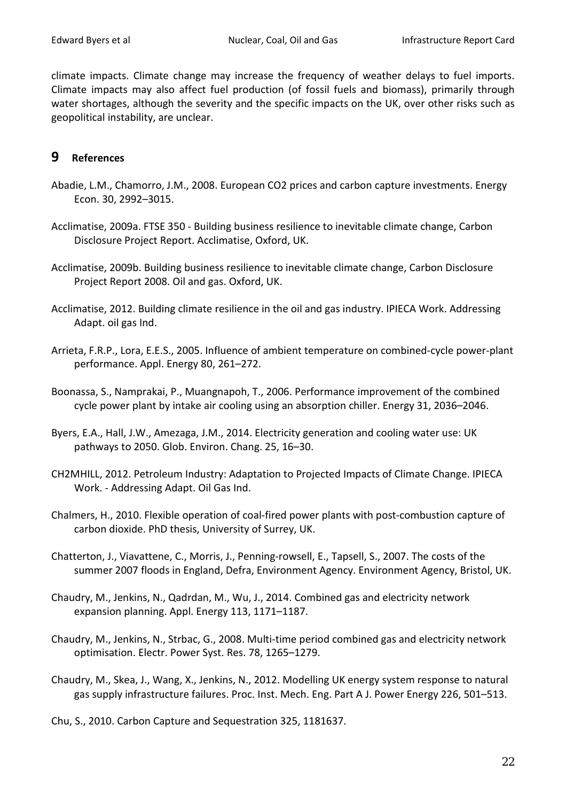climate impacts. Climate change may increase the frequency of weather delays to fuel imports. Climate impacts may also affect fuel production (of fossil fuels and biomass), primarily through water shortages, although the severity and the specific impacts on the UK, over other risks such as geopolitical instability, are unclear.

### **9 References**

- Abadie, L.M., Chamorro, J.M., 2008. European CO2 prices and carbon capture investments. Energy Econ. 30, 2992–3015.
- Acclimatise, 2009a. FTSE 350 Building business resilience to inevitable climate change, Carbon Disclosure Project Report. Acclimatise, Oxford, UK.
- Acclimatise, 2009b. Building business resilience to inevitable climate change, Carbon Disclosure Project Report 2008. Oil and gas. Oxford, UK.
- Acclimatise, 2012. Building climate resilience in the oil and gas industry. IPIECA Work. Addressing Adapt. oil gas Ind.
- Arrieta, F.R.P., Lora, E.E.S., 2005. Influence of ambient temperature on combined-cycle power-plant performance. Appl. Energy 80, 261–272.
- Boonassa, S., Namprakai, P., Muangnapoh, T., 2006. Performance improvement of the combined cycle power plant by intake air cooling using an absorption chiller. Energy 31, 2036–2046.
- Byers, E.A., Hall, J.W., Amezaga, J.M., 2014. Electricity generation and cooling water use: UK pathways to 2050. Glob. Environ. Chang. 25, 16–30.
- CH2MHILL, 2012. Petroleum Industry: Adaptation to Projected Impacts of Climate Change. IPIECA Work. - Addressing Adapt. Oil Gas Ind.
- Chalmers, H., 2010. Flexible operation of coal-fired power plants with post-combustion capture of carbon dioxide. PhD thesis, University of Surrey, UK.
- Chatterton, J., Viavattene, C., Morris, J., Penning-rowsell, E., Tapsell, S., 2007. The costs of the summer 2007 floods in England, Defra, Environment Agency. Environment Agency, Bristol, UK.
- Chaudry, M., Jenkins, N., Qadrdan, M., Wu, J., 2014. Combined gas and electricity network expansion planning. Appl. Energy 113, 1171–1187.
- Chaudry, M., Jenkins, N., Strbac, G., 2008. Multi-time period combined gas and electricity network optimisation. Electr. Power Syst. Res. 78, 1265–1279.
- Chaudry, M., Skea, J., Wang, X., Jenkins, N., 2012. Modelling UK energy system response to natural gas supply infrastructure failures. Proc. Inst. Mech. Eng. Part A J. Power Energy 226, 501–513.

Chu, S., 2010. Carbon Capture and Sequestration 325, 1181637.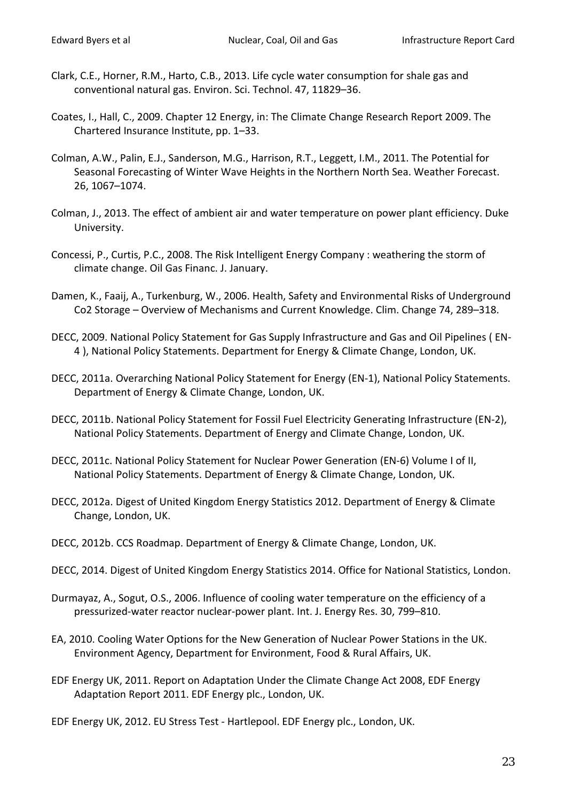- Clark, C.E., Horner, R.M., Harto, C.B., 2013. Life cycle water consumption for shale gas and conventional natural gas. Environ. Sci. Technol. 47, 11829–36.
- Coates, I., Hall, C., 2009. Chapter 12 Energy, in: The Climate Change Research Report 2009. The Chartered Insurance Institute, pp. 1–33.
- Colman, A.W., Palin, E.J., Sanderson, M.G., Harrison, R.T., Leggett, I.M., 2011. The Potential for Seasonal Forecasting of Winter Wave Heights in the Northern North Sea. Weather Forecast. 26, 1067–1074.
- Colman, J., 2013. The effect of ambient air and water temperature on power plant efficiency. Duke University.
- Concessi, P., Curtis, P.C., 2008. The Risk Intelligent Energy Company : weathering the storm of climate change. Oil Gas Financ. J. January.
- Damen, K., Faaij, A., Turkenburg, W., 2006. Health, Safety and Environmental Risks of Underground Co2 Storage – Overview of Mechanisms and Current Knowledge. Clim. Change 74, 289–318.
- DECC, 2009. National Policy Statement for Gas Supply Infrastructure and Gas and Oil Pipelines ( EN-4 ), National Policy Statements. Department for Energy & Climate Change, London, UK.
- DECC, 2011a. Overarching National Policy Statement for Energy (EN-1), National Policy Statements. Department of Energy & Climate Change, London, UK.
- DECC, 2011b. National Policy Statement for Fossil Fuel Electricity Generating Infrastructure (EN-2), National Policy Statements. Department of Energy and Climate Change, London, UK.
- DECC, 2011c. National Policy Statement for Nuclear Power Generation (EN-6) Volume I of II, National Policy Statements. Department of Energy & Climate Change, London, UK.
- DECC, 2012a. Digest of United Kingdom Energy Statistics 2012. Department of Energy & Climate Change, London, UK.
- DECC, 2012b. CCS Roadmap. Department of Energy & Climate Change, London, UK.
- DECC, 2014. Digest of United Kingdom Energy Statistics 2014. Office for National Statistics, London.
- Durmayaz, A., Sogut, O.S., 2006. Influence of cooling water temperature on the efficiency of a pressurized-water reactor nuclear-power plant. Int. J. Energy Res. 30, 799–810.
- EA, 2010. Cooling Water Options for the New Generation of Nuclear Power Stations in the UK. Environment Agency, Department for Environment, Food & Rural Affairs, UK.
- EDF Energy UK, 2011. Report on Adaptation Under the Climate Change Act 2008, EDF Energy Adaptation Report 2011. EDF Energy plc., London, UK.
- EDF Energy UK, 2012. EU Stress Test Hartlepool. EDF Energy plc., London, UK.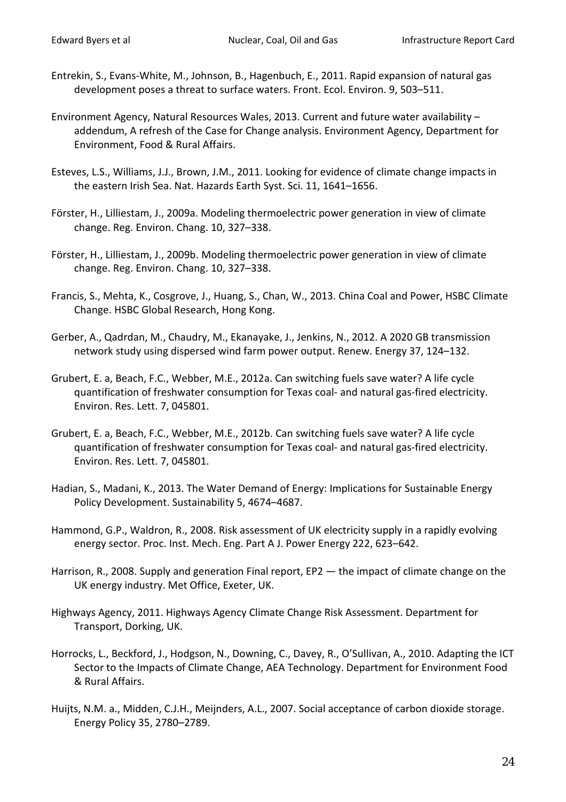- Entrekin, S., Evans-White, M., Johnson, B., Hagenbuch, E., 2011. Rapid expansion of natural gas development poses a threat to surface waters. Front. Ecol. Environ. 9, 503–511.
- Environment Agency, Natural Resources Wales, 2013. Current and future water availability addendum, A refresh of the Case for Change analysis. Environment Agency, Department for Environment, Food & Rural Affairs.
- Esteves, L.S., Williams, J.J., Brown, J.M., 2011. Looking for evidence of climate change impacts in the eastern Irish Sea. Nat. Hazards Earth Syst. Sci. 11, 1641–1656.
- Förster, H., Lilliestam, J., 2009a. Modeling thermoelectric power generation in view of climate change. Reg. Environ. Chang. 10, 327–338.
- Förster, H., Lilliestam, J., 2009b. Modeling thermoelectric power generation in view of climate change. Reg. Environ. Chang. 10, 327–338.
- Francis, S., Mehta, K., Cosgrove, J., Huang, S., Chan, W., 2013. China Coal and Power, HSBC Climate Change. HSBC Global Research, Hong Kong.
- Gerber, A., Qadrdan, M., Chaudry, M., Ekanayake, J., Jenkins, N., 2012. A 2020 GB transmission network study using dispersed wind farm power output. Renew. Energy 37, 124–132.
- Grubert, E. a, Beach, F.C., Webber, M.E., 2012a. Can switching fuels save water? A life cycle quantification of freshwater consumption for Texas coal- and natural gas-fired electricity. Environ. Res. Lett. 7, 045801.
- Grubert, E. a, Beach, F.C., Webber, M.E., 2012b. Can switching fuels save water? A life cycle quantification of freshwater consumption for Texas coal- and natural gas-fired electricity. Environ. Res. Lett. 7, 045801.
- Hadian, S., Madani, K., 2013. The Water Demand of Energy: Implications for Sustainable Energy Policy Development. Sustainability 5, 4674–4687.
- Hammond, G.P., Waldron, R., 2008. Risk assessment of UK electricity supply in a rapidly evolving energy sector. Proc. Inst. Mech. Eng. Part A J. Power Energy 222, 623–642.
- Harrison, R., 2008. Supply and generation Final report, EP2 the impact of climate change on the UK energy industry. Met Office, Exeter, UK.
- Highways Agency, 2011. Highways Agency Climate Change Risk Assessment. Department for Transport, Dorking, UK.
- Horrocks, L., Beckford, J., Hodgson, N., Downing, C., Davey, R., O'Sullivan, A., 2010. Adapting the ICT Sector to the Impacts of Climate Change, AEA Technology. Department for Environment Food & Rural Affairs.
- Huijts, N.M. a., Midden, C.J.H., Meijnders, A.L., 2007. Social acceptance of carbon dioxide storage. Energy Policy 35, 2780–2789.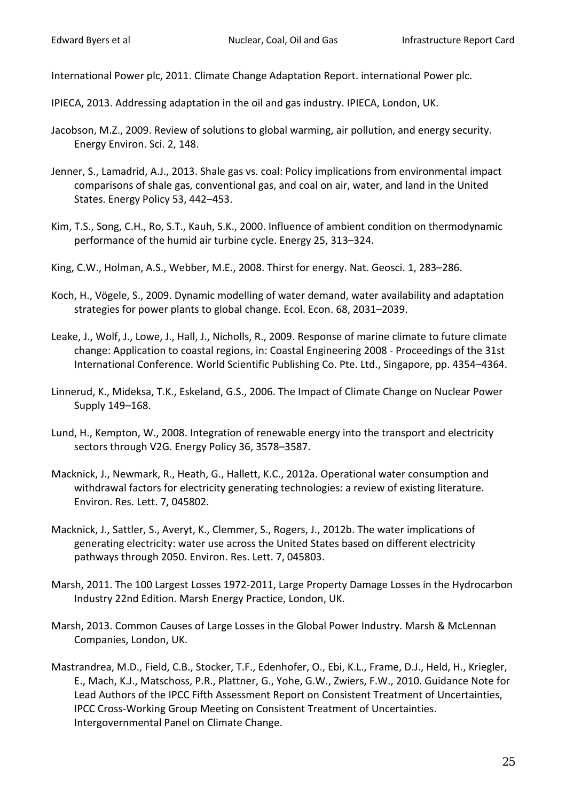International Power plc, 2011. Climate Change Adaptation Report. international Power plc.

IPIECA, 2013. Addressing adaptation in the oil and gas industry. IPIECA, London, UK.

- Jacobson, M.Z., 2009. Review of solutions to global warming, air pollution, and energy security. Energy Environ. Sci. 2, 148.
- Jenner, S., Lamadrid, A.J., 2013. Shale gas vs. coal: Policy implications from environmental impact comparisons of shale gas, conventional gas, and coal on air, water, and land in the United States. Energy Policy 53, 442–453.
- Kim, T.S., Song, C.H., Ro, S.T., Kauh, S.K., 2000. Influence of ambient condition on thermodynamic performance of the humid air turbine cycle. Energy 25, 313–324.
- King, C.W., Holman, A.S., Webber, M.E., 2008. Thirst for energy. Nat. Geosci. 1, 283–286.
- Koch, H., Vögele, S., 2009. Dynamic modelling of water demand, water availability and adaptation strategies for power plants to global change. Ecol. Econ. 68, 2031–2039.
- Leake, J., Wolf, J., Lowe, J., Hall, J., Nicholls, R., 2009. Response of marine climate to future climate change: Application to coastal regions, in: Coastal Engineering 2008 - Proceedings of the 31st International Conference. World Scientific Publishing Co. Pte. Ltd., Singapore, pp. 4354–4364.
- Linnerud, K., Mideksa, T.K., Eskeland, G.S., 2006. The Impact of Climate Change on Nuclear Power Supply 149–168.
- Lund, H., Kempton, W., 2008. Integration of renewable energy into the transport and electricity sectors through V2G. Energy Policy 36, 3578–3587.
- Macknick, J., Newmark, R., Heath, G., Hallett, K.C., 2012a. Operational water consumption and withdrawal factors for electricity generating technologies: a review of existing literature. Environ. Res. Lett. 7, 045802.
- Macknick, J., Sattler, S., Averyt, K., Clemmer, S., Rogers, J., 2012b. The water implications of generating electricity: water use across the United States based on different electricity pathways through 2050. Environ. Res. Lett. 7, 045803.
- Marsh, 2011. The 100 Largest Losses 1972-2011, Large Property Damage Losses in the Hydrocarbon Industry 22nd Edition. Marsh Energy Practice, London, UK.
- Marsh, 2013. Common Causes of Large Losses in the Global Power Industry. Marsh & McLennan Companies, London, UK.
- Mastrandrea, M.D., Field, C.B., Stocker, T.F., Edenhofer, O., Ebi, K.L., Frame, D.J., Held, H., Kriegler, E., Mach, K.J., Matschoss, P.R., Plattner, G., Yohe, G.W., Zwiers, F.W., 2010. Guidance Note for Lead Authors of the IPCC Fifth Assessment Report on Consistent Treatment of Uncertainties, IPCC Cross-Working Group Meeting on Consistent Treatment of Uncertainties. Intergovernmental Panel on Climate Change.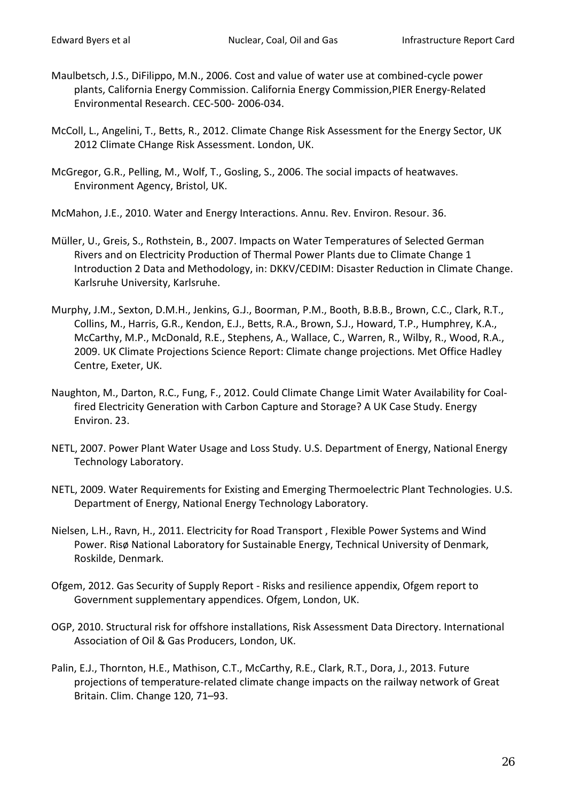- Maulbetsch, J.S., DiFilippo, M.N., 2006. Cost and value of water use at combined-cycle power plants, California Energy Commission. California Energy Commission,PIER Energy-Related Environmental Research. CEC-500- 2006-034.
- McColl, L., Angelini, T., Betts, R., 2012. Climate Change Risk Assessment for the Energy Sector, UK 2012 Climate CHange Risk Assessment. London, UK.
- McGregor, G.R., Pelling, M., Wolf, T., Gosling, S., 2006. The social impacts of heatwaves. Environment Agency, Bristol, UK.
- McMahon, J.E., 2010. Water and Energy Interactions. Annu. Rev. Environ. Resour. 36.
- Müller, U., Greis, S., Rothstein, B., 2007. Impacts on Water Temperatures of Selected German Rivers and on Electricity Production of Thermal Power Plants due to Climate Change 1 Introduction 2 Data and Methodology, in: DKKV/CEDIM: Disaster Reduction in Climate Change. Karlsruhe University, Karlsruhe.
- Murphy, J.M., Sexton, D.M.H., Jenkins, G.J., Boorman, P.M., Booth, B.B.B., Brown, C.C., Clark, R.T., Collins, M., Harris, G.R., Kendon, E.J., Betts, R.A., Brown, S.J., Howard, T.P., Humphrey, K.A., McCarthy, M.P., McDonald, R.E., Stephens, A., Wallace, C., Warren, R., Wilby, R., Wood, R.A., 2009. UK Climate Projections Science Report: Climate change projections. Met Office Hadley Centre, Exeter, UK.
- Naughton, M., Darton, R.C., Fung, F., 2012. Could Climate Change Limit Water Availability for Coalfired Electricity Generation with Carbon Capture and Storage? A UK Case Study. Energy Environ. 23.
- NETL, 2007. Power Plant Water Usage and Loss Study. U.S. Department of Energy, National Energy Technology Laboratory.
- NETL, 2009. Water Requirements for Existing and Emerging Thermoelectric Plant Technologies. U.S. Department of Energy, National Energy Technology Laboratory.
- Nielsen, L.H., Ravn, H., 2011. Electricity for Road Transport , Flexible Power Systems and Wind Power. Risø National Laboratory for Sustainable Energy, Technical University of Denmark, Roskilde, Denmark.
- Ofgem, 2012. Gas Security of Supply Report Risks and resilience appendix, Ofgem report to Government supplementary appendices. Ofgem, London, UK.
- OGP, 2010. Structural risk for offshore installations, Risk Assessment Data Directory. International Association of Oil & Gas Producers, London, UK.
- Palin, E.J., Thornton, H.E., Mathison, C.T., McCarthy, R.E., Clark, R.T., Dora, J., 2013. Future projections of temperature-related climate change impacts on the railway network of Great Britain. Clim. Change 120, 71–93.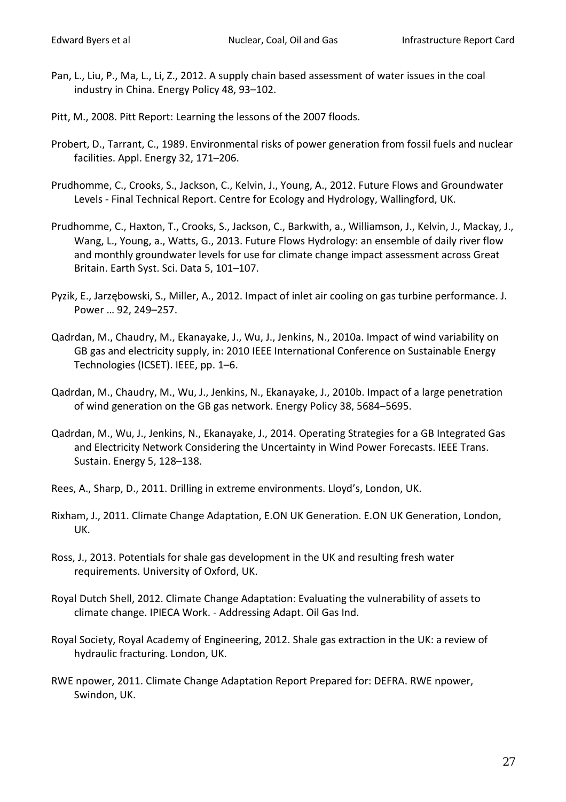- Pan, L., Liu, P., Ma, L., Li, Z., 2012. A supply chain based assessment of water issues in the coal industry in China. Energy Policy 48, 93–102.
- Pitt, M., 2008. Pitt Report: Learning the lessons of the 2007 floods.
- Probert, D., Tarrant, C., 1989. Environmental risks of power generation from fossil fuels and nuclear facilities. Appl. Energy 32, 171–206.
- Prudhomme, C., Crooks, S., Jackson, C., Kelvin, J., Young, A., 2012. Future Flows and Groundwater Levels - Final Technical Report. Centre for Ecology and Hydrology, Wallingford, UK.
- Prudhomme, C., Haxton, T., Crooks, S., Jackson, C., Barkwith, a., Williamson, J., Kelvin, J., Mackay, J., Wang, L., Young, a., Watts, G., 2013. Future Flows Hydrology: an ensemble of daily river flow and monthly groundwater levels for use for climate change impact assessment across Great Britain. Earth Syst. Sci. Data 5, 101–107.
- Pyzik, E., Jarzębowski, S., Miller, A., 2012. Impact of inlet air cooling on gas turbine performance. J. Power … 92, 249–257.
- Qadrdan, M., Chaudry, M., Ekanayake, J., Wu, J., Jenkins, N., 2010a. Impact of wind variability on GB gas and electricity supply, in: 2010 IEEE International Conference on Sustainable Energy Technologies (ICSET). IEEE, pp. 1–6.
- Qadrdan, M., Chaudry, M., Wu, J., Jenkins, N., Ekanayake, J., 2010b. Impact of a large penetration of wind generation on the GB gas network. Energy Policy 38, 5684–5695.
- Qadrdan, M., Wu, J., Jenkins, N., Ekanayake, J., 2014. Operating Strategies for a GB Integrated Gas and Electricity Network Considering the Uncertainty in Wind Power Forecasts. IEEE Trans. Sustain. Energy 5, 128–138.
- Rees, A., Sharp, D., 2011. Drilling in extreme environments. Lloyd's, London, UK.
- Rixham, J., 2011. Climate Change Adaptation, E.ON UK Generation. E.ON UK Generation, London, UK.
- Ross, J., 2013. Potentials for shale gas development in the UK and resulting fresh water requirements. University of Oxford, UK.
- Royal Dutch Shell, 2012. Climate Change Adaptation: Evaluating the vulnerability of assets to climate change. IPIECA Work. - Addressing Adapt. Oil Gas Ind.
- Royal Society, Royal Academy of Engineering, 2012. Shale gas extraction in the UK: a review of hydraulic fracturing. London, UK.
- RWE npower, 2011. Climate Change Adaptation Report Prepared for: DEFRA. RWE npower, Swindon, UK.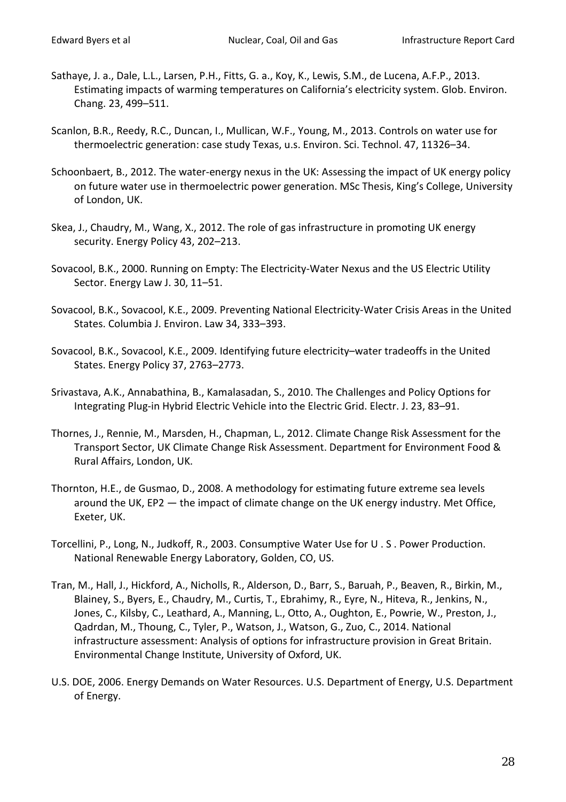- Sathaye, J. a., Dale, L.L., Larsen, P.H., Fitts, G. a., Koy, K., Lewis, S.M., de Lucena, A.F.P., 2013. Estimating impacts of warming temperatures on California's electricity system. Glob. Environ. Chang. 23, 499–511.
- Scanlon, B.R., Reedy, R.C., Duncan, I., Mullican, W.F., Young, M., 2013. Controls on water use for thermoelectric generation: case study Texas, u.s. Environ. Sci. Technol. 47, 11326–34.
- Schoonbaert, B., 2012. The water-energy nexus in the UK: Assessing the impact of UK energy policy on future water use in thermoelectric power generation. MSc Thesis, King's College, University of London, UK.
- Skea, J., Chaudry, M., Wang, X., 2012. The role of gas infrastructure in promoting UK energy security. Energy Policy 43, 202–213.
- Sovacool, B.K., 2000. Running on Empty: The Electricity-Water Nexus and the US Electric Utility Sector. Energy Law J. 30, 11–51.
- Sovacool, B.K., Sovacool, K.E., 2009. Preventing National Electricity-Water Crisis Areas in the United States. Columbia J. Environ. Law 34, 333–393.
- Sovacool, B.K., Sovacool, K.E., 2009. Identifying future electricity–water tradeoffs in the United States. Energy Policy 37, 2763–2773.
- Srivastava, A.K., Annabathina, B., Kamalasadan, S., 2010. The Challenges and Policy Options for Integrating Plug-in Hybrid Electric Vehicle into the Electric Grid. Electr. J. 23, 83–91.
- Thornes, J., Rennie, M., Marsden, H., Chapman, L., 2012. Climate Change Risk Assessment for the Transport Sector, UK Climate Change Risk Assessment. Department for Environment Food & Rural Affairs, London, UK.
- Thornton, H.E., de Gusmao, D., 2008. A methodology for estimating future extreme sea levels around the UK, EP2 — the impact of climate change on the UK energy industry. Met Office, Exeter, UK.
- Torcellini, P., Long, N., Judkoff, R., 2003. Consumptive Water Use for U . S . Power Production. National Renewable Energy Laboratory, Golden, CO, US.
- Tran, M., Hall, J., Hickford, A., Nicholls, R., Alderson, D., Barr, S., Baruah, P., Beaven, R., Birkin, M., Blainey, S., Byers, E., Chaudry, M., Curtis, T., Ebrahimy, R., Eyre, N., Hiteva, R., Jenkins, N., Jones, C., Kilsby, C., Leathard, A., Manning, L., Otto, A., Oughton, E., Powrie, W., Preston, J., Qadrdan, M., Thoung, C., Tyler, P., Watson, J., Watson, G., Zuo, C., 2014. National infrastructure assessment: Analysis of options for infrastructure provision in Great Britain. Environmental Change Institute, University of Oxford, UK.
- U.S. DOE, 2006. Energy Demands on Water Resources. U.S. Department of Energy, U.S. Department of Energy.